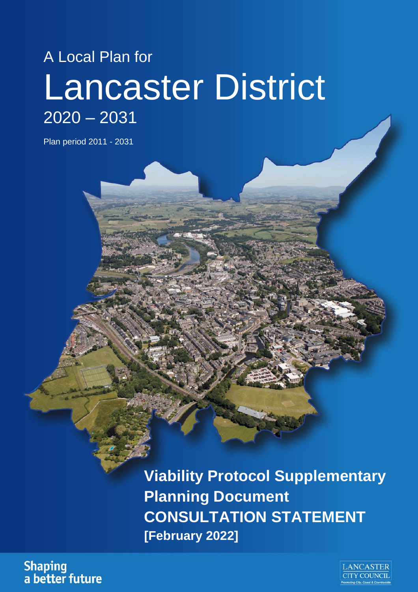# A Local Plan for Lancaster District 2020 – 2031

Plan period 2011 - 2031

**Viability Protocol Supplementary Planning Document CONSULTATION STATEMENT [February 2022]**

**Shaping** a better future

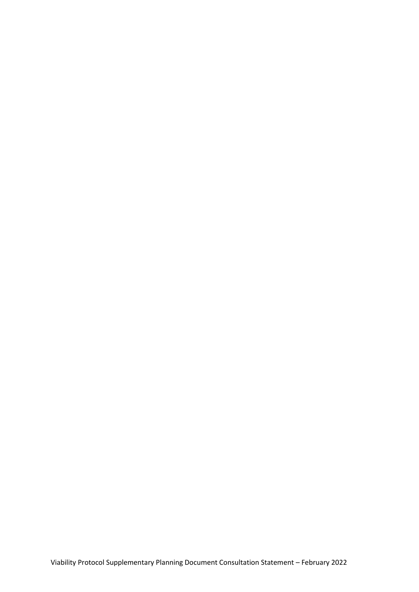Viability Protocol Supplementary Planning Document Consultation Statement – February 2022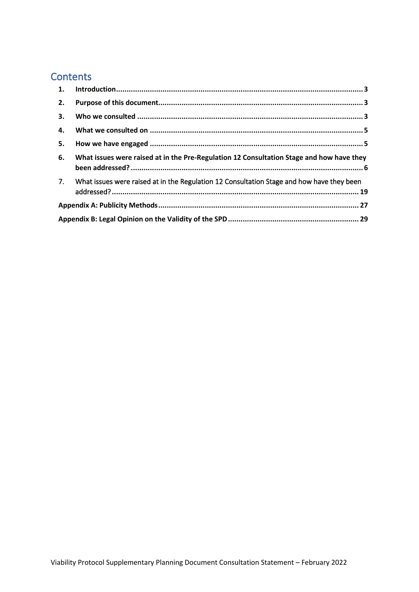# **Contents**

| 2. |                                                                                              |  |
|----|----------------------------------------------------------------------------------------------|--|
| 3. |                                                                                              |  |
| 4. |                                                                                              |  |
| 5. |                                                                                              |  |
| 6. | What issues were raised at in the Pre-Regulation 12 Consultation Stage and how have they     |  |
|    | 7. What issues were raised at in the Regulation 12 Consultation Stage and how have they been |  |
|    |                                                                                              |  |
|    |                                                                                              |  |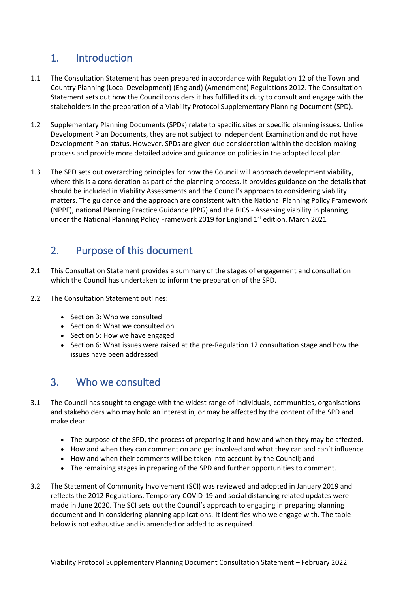# <span id="page-3-0"></span>1. Introduction

- 1.1 The Consultation Statement has been prepared in accordance with Regulation 12 of the Town and Country Planning (Local Development) (England) (Amendment) Regulations 2012. The Consultation Statement sets out how the Council considers it has fulfilled its duty to consult and engage with the stakeholders in the preparation of a Viability Protocol Supplementary Planning Document (SPD).
- 1.2 Supplementary Planning Documents (SPDs) relate to specific sites or specific planning issues. Unlike Development Plan Documents, they are not subject to Independent Examination and do not have Development Plan status. However, SPDs are given due consideration within the decision-making process and provide more detailed advice and guidance on policies in the adopted local plan.
- 1.3 The SPD sets out overarching principles for how the Council will approach development viability, where this is a consideration as part of the planning process. It provides guidance on the details that should be included in Viability Assessments and the Council's approach to considering viability matters. The guidance and the approach are consistent with the National Planning Policy Framework (NPPF), national Planning Practice Guidance (PPG) and the RICS - Assessing viability in planning under the National Planning Policy Framework 2019 for England  $1<sup>st</sup>$  edition, March 2021

# <span id="page-3-1"></span>2. Purpose of this document

- 2.1 This Consultation Statement provides a summary of the stages of engagement and consultation which the Council has undertaken to inform the preparation of the SPD.
- 2.2 The Consultation Statement outlines:
	- Section 3: Who we consulted
	- Section 4: What we consulted on
	- Section 5: How we have engaged
	- Section 6: What issues were raised at the pre-Regulation 12 consultation stage and how the issues have been addressed

# <span id="page-3-2"></span>3. Who we consulted

- 3.1 The Council has sought to engage with the widest range of individuals, communities, organisations and stakeholders who may hold an interest in, or may be affected by the content of the SPD and make clear:
	- The purpose of the SPD, the process of preparing it and how and when they may be affected.
	- How and when they can comment on and get involved and what they can and can't influence.
	- How and when their comments will be taken into account by the Council; and
	- The remaining stages in preparing of the SPD and further opportunities to comment.
- 3.2 The Statement of Community Involvement (SCI) was reviewed and adopted in January 2019 and reflects the 2012 Regulations. Temporary COVID-19 and social distancing related updates were made in June 2020. The SCI sets out the Council's approach to engaging in preparing planning document and in considering planning applications. It identifies who we engage with. The table below is not exhaustive and is amended or added to as required.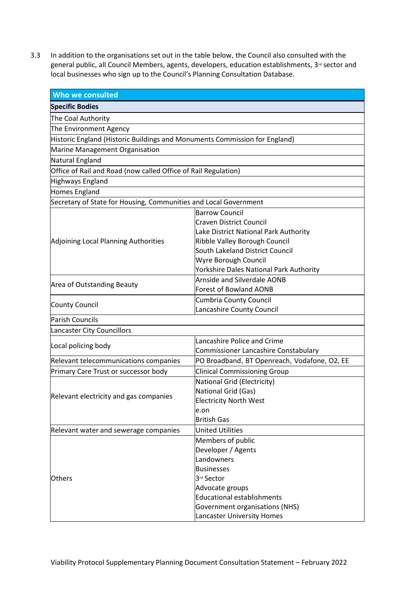3.3 In addition to the organisations set out in the table below, the Council also consulted with the general public, all Council Members, agents, developers, education establishments, 3<sup>rd</sup> sector and local businesses who sign up to the Council's Planning Consultation Database.

| Who we consulted                                                           |                                              |  |
|----------------------------------------------------------------------------|----------------------------------------------|--|
| <b>Specific Bodies</b>                                                     |                                              |  |
| The Coal Authority                                                         |                                              |  |
| The Environment Agency                                                     |                                              |  |
| Historic England (Historic Buildings and Monuments Commission for England) |                                              |  |
| Marine Management Organisation                                             |                                              |  |
| Natural England                                                            |                                              |  |
| Office of Rail and Road (now called Office of Rail Regulation)             |                                              |  |
| Highways England                                                           |                                              |  |
| Homes England                                                              |                                              |  |
| Secretary of State for Housing, Communities and Local Government           |                                              |  |
|                                                                            | Barrow Council                               |  |
|                                                                            | <b>Craven District Council</b>               |  |
|                                                                            | Lake District National Park Authority        |  |
| Adjoining Local Planning Authorities                                       | Ribble Valley Borough Council                |  |
|                                                                            | South Lakeland District Council              |  |
|                                                                            | Wyre Borough Council                         |  |
|                                                                            | Yorkshire Dales National Park Authority      |  |
|                                                                            | Arnside and Silverdale AONB                  |  |
| Area of Outstanding Beauty                                                 | <b>Forest of Bowland AONB</b>                |  |
| <b>County Council</b>                                                      | <b>Cumbria County Council</b>                |  |
|                                                                            | Lancashire County Council                    |  |
| Parish Councils                                                            |                                              |  |
| Lancaster City Councillors                                                 |                                              |  |
| Local policing body                                                        | Lancashire Police and Crime                  |  |
|                                                                            | Commissioner Lancashire Constabulary         |  |
| Relevant telecommunications companies                                      | PO Broadband, BT Openreach, Vodafone, O2, EE |  |
| Primary Care Trust or successor body                                       | <b>Clinical Commissioning Group</b>          |  |
|                                                                            | National Grid (Electricity)                  |  |
| Relevant electricity and gas companies                                     | National Grid (Gas)                          |  |
|                                                                            | <b>Electricity North West</b>                |  |
|                                                                            | e.on                                         |  |
|                                                                            | <b>British Gas</b>                           |  |
| Relevant water and sewerage companies                                      | <b>United Utilities</b>                      |  |
|                                                                            | Members of public                            |  |
|                                                                            | Developer / Agents                           |  |
|                                                                            | Landowners                                   |  |
|                                                                            | <b>Businesses</b>                            |  |
| <b>Others</b>                                                              | 3rd Sector                                   |  |
|                                                                            | Advocate groups                              |  |
|                                                                            | <b>Educational establishments</b>            |  |
|                                                                            | <b>Government organisations (NHS)</b>        |  |
|                                                                            | Lancaster University Homes                   |  |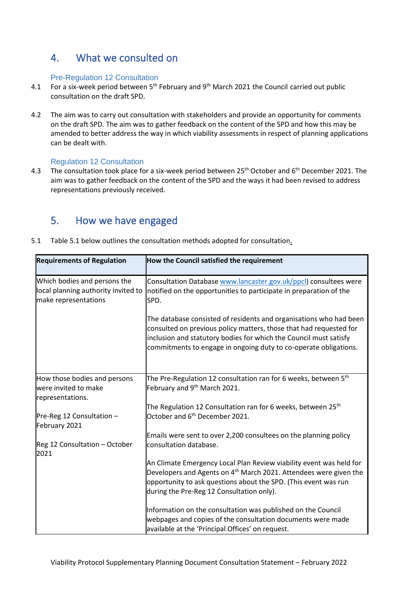# <span id="page-5-0"></span>4. What we consulted on

#### Pre-Regulation 12 Consultation

- 4.1 For a six-week period between  $5<sup>th</sup>$  February and  $9<sup>th</sup>$  March 2021 the Council carried out public consultation on the draft SPD.
- 4.2 The aim was to carry out consultation with stakeholders and provide an opportunity for comments on the draft SPD. The aim was to gather feedback on the content of the SPD and how this may be amended to better address the way in which viability assessments in respect of planning applications can be dealt with.

#### Regulation 12 Consultation

4.3 The consultation took place for a six-week period between 25<sup>th</sup> October and 6<sup>th</sup> December 2021. The aim was to gather feedback on the content of the SPD and the ways it had been revised to address representations previously received.

# <span id="page-5-1"></span>5. How we have engaged

| <b>Requirements of Regulation</b>                                                           | How the Council satisfied the requirement                                                                                                                                                                                                                                         |
|---------------------------------------------------------------------------------------------|-----------------------------------------------------------------------------------------------------------------------------------------------------------------------------------------------------------------------------------------------------------------------------------|
| Which bodies and persons the<br>local planning authority invited to<br>make representations | Consultation Database www.lancaster.gov.uk/ppcl) consultees were<br>notified on the opportunities to participate in preparation of the<br>SPD.                                                                                                                                    |
|                                                                                             | The database consisted of residents and organisations who had been<br>consulted on previous policy matters, those that had requested for<br>inclusion and statutory bodies for which the Council must satisfy<br>commitments to engage in ongoing duty to co-operate obligations. |
| How those bodies and persons<br>were invited to make<br>representations.                    | The Pre-Regulation 12 consultation ran for 6 weeks, between $5th$<br>February and 9 <sup>th</sup> March 2021.                                                                                                                                                                     |
| Pre-Reg 12 Consultation -<br>February 2021                                                  | The Regulation 12 Consultation ran for 6 weeks, between 25 <sup>th</sup><br>October and 6 <sup>th</sup> December 2021.                                                                                                                                                            |
| Reg 12 Consultation - October<br>2021                                                       | Emails were sent to over 2,200 consultees on the planning policy<br>consultation database.                                                                                                                                                                                        |
|                                                                                             | An Climate Emergency Local Plan Review viability event was held for<br>Developers and Agents on 4 <sup>th</sup> March 2021. Attendees were given the<br>opportunity to ask questions about the SPD. (This event was run<br>during the Pre-Reg 12 Consultation only).              |
|                                                                                             | Information on the consultation was published on the Council<br>webpages and copies of the consultation documents were made<br>available at the 'Principal Offices' on request.                                                                                                   |

5.1 Table 5.1 below outlines the consultation methods adopted for consultation.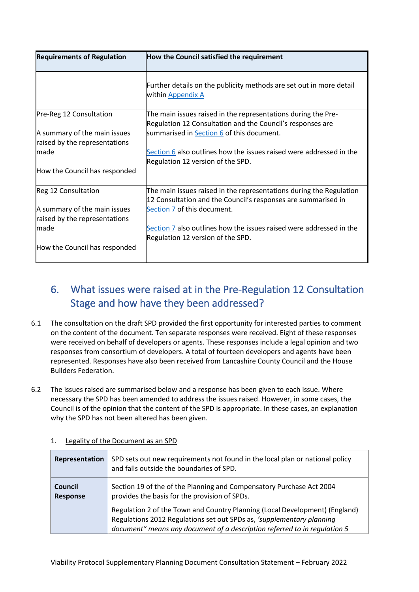| <b>Requirements of Regulation</b>                             | How the Council satisfied the requirement                                                                                            |
|---------------------------------------------------------------|--------------------------------------------------------------------------------------------------------------------------------------|
|                                                               | Further details on the publicity methods are set out in more detail<br>within Appendix A                                             |
| Pre-Reg 12 Consultation                                       | The main issues raised in the representations during the Pre-<br>Regulation 12 Consultation and the Council's responses are          |
| A summary of the main issues<br>raised by the representations | summarised in <b>Section 6</b> of this document.                                                                                     |
| <b>I</b> made                                                 | Section 6 also outlines how the issues raised were addressed in the<br>Regulation 12 version of the SPD.                             |
| How the Council has responded                                 |                                                                                                                                      |
| Reg 12 Consultation                                           | The main issues raised in the representations during the Regulation<br>12 Consultation and the Council's responses are summarised in |
| A summary of the main issues<br>raised by the representations | Section 7 of this document.                                                                                                          |
| made                                                          | Section 7 also outlines how the issues raised were addressed in the<br>Regulation 12 version of the SPD.                             |
| How the Council has responded                                 |                                                                                                                                      |

# <span id="page-6-0"></span>6. What issues were raised at in the Pre-Regulation 12 Consultation Stage and how have they been addressed?

- 6.1 The consultation on the draft SPD provided the first opportunity for interested parties to comment on the content of the document. Ten separate responses were received. Eight of these responses were received on behalf of developers or agents. These responses include a legal opinion and two responses from consortium of developers. A total of fourteen developers and agents have been represented. Responses have also been received from Lancashire County Council and the House Builders Federation.
- 6.2 The issues raised are summarised below and a response has been given to each issue. Where necessary the SPD has been amended to address the issues raised. However, in some cases, the Council is of the opinion that the content of the SPD is appropriate. In these cases, an explanation why the SPD has not been altered has been given.

| Representation             | SPD sets out new requirements not found in the local plan or national policy<br>and falls outside the boundaries of SPD.                                                                                                          |
|----------------------------|-----------------------------------------------------------------------------------------------------------------------------------------------------------------------------------------------------------------------------------|
| Council<br><b>Response</b> | Section 19 of the of the Planning and Compensatory Purchase Act 2004<br>provides the basis for the provision of SPDs.                                                                                                             |
|                            | Regulation 2 of the Town and Country Planning (Local Development) (England)<br>Regulations 2012 Regulations set out SPDs as, 'supplementary planning<br>document" means any document of a description referred to in regulation 5 |

#### 1. Legality of the Document as an SPD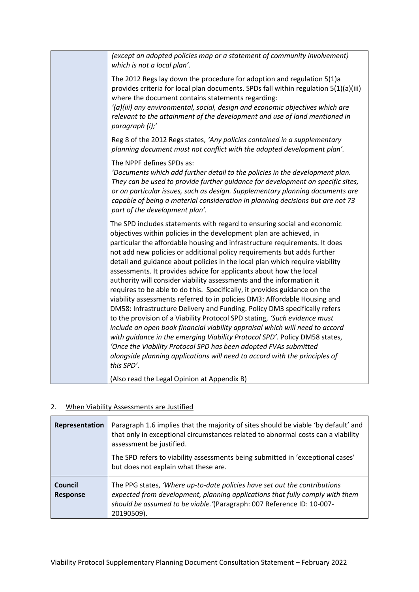| (except an adopted policies map or a statement of community involvement)<br>which is not a local plan'.                                                                                                                                                                                                                                                                                                                                                                                                                                                                                                                                                                                                                                                                                                                                                                                                                                                                                                                                                                                                                                                                                 |
|-----------------------------------------------------------------------------------------------------------------------------------------------------------------------------------------------------------------------------------------------------------------------------------------------------------------------------------------------------------------------------------------------------------------------------------------------------------------------------------------------------------------------------------------------------------------------------------------------------------------------------------------------------------------------------------------------------------------------------------------------------------------------------------------------------------------------------------------------------------------------------------------------------------------------------------------------------------------------------------------------------------------------------------------------------------------------------------------------------------------------------------------------------------------------------------------|
| The 2012 Regs lay down the procedure for adoption and regulation 5(1)a<br>provides criteria for local plan documents. SPDs fall within regulation 5(1)(a)(iii)<br>where the document contains statements regarding:<br>'(a)(iii) any environmental, social, design and economic objectives which are<br>relevant to the attainment of the development and use of land mentioned in<br>paragraph (i);'                                                                                                                                                                                                                                                                                                                                                                                                                                                                                                                                                                                                                                                                                                                                                                                   |
| Reg 8 of the 2012 Regs states, 'Any policies contained in a supplementary<br>planning document must not conflict with the adopted development plan'.                                                                                                                                                                                                                                                                                                                                                                                                                                                                                                                                                                                                                                                                                                                                                                                                                                                                                                                                                                                                                                    |
| The NPPF defines SPDs as:<br>'Documents which add further detail to the policies in the development plan.<br>They can be used to provide further guidance for development on specific sites,<br>or on particular issues, such as design. Supplementary planning documents are<br>capable of being a material consideration in planning decisions but are not 73<br>part of the development plan'.                                                                                                                                                                                                                                                                                                                                                                                                                                                                                                                                                                                                                                                                                                                                                                                       |
| The SPD includes statements with regard to ensuring social and economic<br>objectives within policies in the development plan are achieved, in<br>particular the affordable housing and infrastructure requirements. It does<br>not add new policies or additional policy requirements but adds further<br>detail and guidance about policies in the local plan which require viability<br>assessments. It provides advice for applicants about how the local<br>authority will consider viability assessments and the information it<br>requires to be able to do this. Specifically, it provides guidance on the<br>viability assessments referred to in policies DM3: Affordable Housing and<br>DM58: Infrastructure Delivery and Funding. Policy DM3 specifically refers<br>to the provision of a Viability Protocol SPD stating, 'Such evidence must<br>include an open book financial viability appraisal which will need to accord<br>with guidance in the emerging Viability Protocol SPD'. Policy DM58 states,<br>'Once the Viability Protocol SPD has been adopted FVAs submitted<br>alongside planning applications will need to accord with the principles of<br>this SPD'. |
| (Also read the Legal Opinion at Appendix B)                                                                                                                                                                                                                                                                                                                                                                                                                                                                                                                                                                                                                                                                                                                                                                                                                                                                                                                                                                                                                                                                                                                                             |

# 2. When Viability Assessments are Justified

| Representation                    | Paragraph 1.6 implies that the majority of sites should be viable 'by default' and<br>that only in exceptional circumstances related to abnormal costs can a viability<br>assessment be justified.<br>The SPD refers to viability assessments being submitted in 'exceptional cases'<br>but does not explain what these are. |
|-----------------------------------|------------------------------------------------------------------------------------------------------------------------------------------------------------------------------------------------------------------------------------------------------------------------------------------------------------------------------|
| <b>Council</b><br><b>Response</b> | The PPG states, 'Where up-to-date policies have set out the contributions<br>expected from development, planning applications that fully comply with them<br>should be assumed to be viable.'(Paragraph: 007 Reference ID: 10-007-<br>20190509).                                                                             |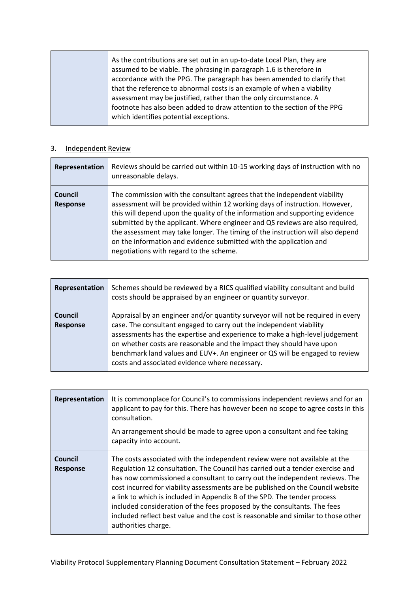|  | As the contributions are set out in an up-to-date Local Plan, they are<br>assumed to be viable. The phrasing in paragraph 1.6 is therefore in<br>accordance with the PPG. The paragraph has been amended to clarify that<br>that the reference to abnormal costs is an example of when a viability<br>assessment may be justified, rather than the only circumstance. A<br>footnote has also been added to draw attention to the section of the PPG |
|--|-----------------------------------------------------------------------------------------------------------------------------------------------------------------------------------------------------------------------------------------------------------------------------------------------------------------------------------------------------------------------------------------------------------------------------------------------------|
|  | which identifies potential exceptions.                                                                                                                                                                                                                                                                                                                                                                                                              |

#### 3. Independent Review

| Representation                    | Reviews should be carried out within 10-15 working days of instruction with no<br>unreasonable delays.                                                                                                                                                                                                                                                                                                                                                                                                                     |
|-----------------------------------|----------------------------------------------------------------------------------------------------------------------------------------------------------------------------------------------------------------------------------------------------------------------------------------------------------------------------------------------------------------------------------------------------------------------------------------------------------------------------------------------------------------------------|
| <b>Council</b><br><b>Response</b> | The commission with the consultant agrees that the independent viability<br>assessment will be provided within 12 working days of instruction. However,<br>this will depend upon the quality of the information and supporting evidence<br>submitted by the applicant. Where engineer and QS reviews are also required,<br>the assessment may take longer. The timing of the instruction will also depend<br>on the information and evidence submitted with the application and<br>negotiations with regard to the scheme. |

| Representation                    | Schemes should be reviewed by a RICS qualified viability consultant and build<br>costs should be appraised by an engineer or quantity surveyor.                                                                                                                                                                                                                                                                                                |
|-----------------------------------|------------------------------------------------------------------------------------------------------------------------------------------------------------------------------------------------------------------------------------------------------------------------------------------------------------------------------------------------------------------------------------------------------------------------------------------------|
| <b>Council</b><br><b>Response</b> | Appraisal by an engineer and/or quantity surveyor will not be required in every<br>case. The consultant engaged to carry out the independent viability<br>assessments has the expertise and experience to make a high-level judgement<br>on whether costs are reasonable and the impact they should have upon<br>benchmark land values and EUV+. An engineer or QS will be engaged to review<br>costs and associated evidence where necessary. |

| Representation             | It is commonplace for Council's to commissions independent reviews and for an<br>applicant to pay for this. There has however been no scope to agree costs in this<br>consultation.<br>An arrangement should be made to agree upon a consultant and fee taking<br>capacity into account.                                                                                                                                                                                                                                                                                                          |
|----------------------------|---------------------------------------------------------------------------------------------------------------------------------------------------------------------------------------------------------------------------------------------------------------------------------------------------------------------------------------------------------------------------------------------------------------------------------------------------------------------------------------------------------------------------------------------------------------------------------------------------|
| Council<br><b>Response</b> | The costs associated with the independent review were not available at the<br>Regulation 12 consultation. The Council has carried out a tender exercise and<br>has now commissioned a consultant to carry out the independent reviews. The<br>cost incurred for viability assessments are be published on the Council website<br>a link to which is included in Appendix B of the SPD. The tender process<br>included consideration of the fees proposed by the consultants. The fees<br>included reflect best value and the cost is reasonable and similar to those other<br>authorities charge. |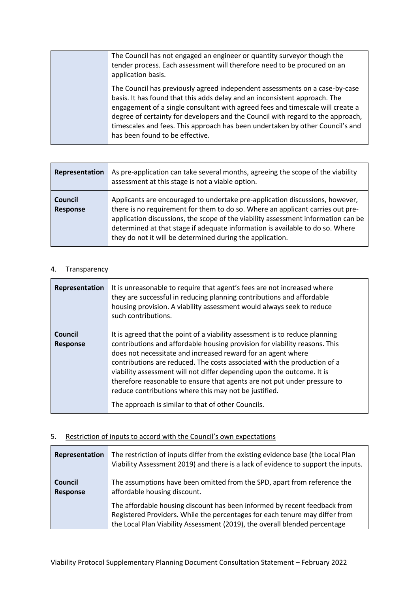| The Council has not engaged an engineer or quantity surveyor though the<br>tender process. Each assessment will therefore need to be procured on an               |
|-------------------------------------------------------------------------------------------------------------------------------------------------------------------|
| application basis.                                                                                                                                                |
| The Council has previously agreed independent assessments on a case-by-case<br>basis. It has found that this adds delay and an inconsistent approach. The         |
| engagement of a single consultant with agreed fees and timescale will create a<br>degree of certainty for developers and the Council with regard to the approach, |
| timescales and fees. This approach has been undertaken by other Council's and<br>has been found to be effective.                                                  |
|                                                                                                                                                                   |

| Representation             | As pre-application can take several months, agreeing the scope of the viability<br>assessment at this stage is not a viable option.                                                                                                                                                                                                                                                               |
|----------------------------|---------------------------------------------------------------------------------------------------------------------------------------------------------------------------------------------------------------------------------------------------------------------------------------------------------------------------------------------------------------------------------------------------|
| Council<br><b>Response</b> | Applicants are encouraged to undertake pre-application discussions, however,<br>there is no requirement for them to do so. Where an applicant carries out pre-<br>application discussions, the scope of the viability assessment information can be<br>determined at that stage if adequate information is available to do so. Where<br>they do not it will be determined during the application. |

#### 4. Transparency

| Representation             | It is unreasonable to require that agent's fees are not increased where<br>they are successful in reducing planning contributions and affordable<br>housing provision. A viability assessment would always seek to reduce<br>such contributions.                                                                                                                                                                                                                                                                                                                           |
|----------------------------|----------------------------------------------------------------------------------------------------------------------------------------------------------------------------------------------------------------------------------------------------------------------------------------------------------------------------------------------------------------------------------------------------------------------------------------------------------------------------------------------------------------------------------------------------------------------------|
| Council<br><b>Response</b> | It is agreed that the point of a viability assessment is to reduce planning<br>contributions and affordable housing provision for viability reasons. This<br>does not necessitate and increased reward for an agent where<br>contributions are reduced. The costs associated with the production of a<br>viability assessment will not differ depending upon the outcome. It is<br>therefore reasonable to ensure that agents are not put under pressure to<br>reduce contributions where this may not be justified.<br>The approach is similar to that of other Councils. |

#### 5. Restriction of inputs to accord with the Council's own expectations

| Representation                    | The restriction of inputs differ from the existing evidence base (the Local Plan<br>Viability Assessment 2019) and there is a lack of evidence to support the inputs.                                                                  |
|-----------------------------------|----------------------------------------------------------------------------------------------------------------------------------------------------------------------------------------------------------------------------------------|
| <b>Council</b><br><b>Response</b> | The assumptions have been omitted from the SPD, apart from reference the<br>affordable housing discount.                                                                                                                               |
|                                   | The affordable housing discount has been informed by recent feedback from<br>Registered Providers. While the percentages for each tenure may differ from<br>the Local Plan Viability Assessment (2019), the overall blended percentage |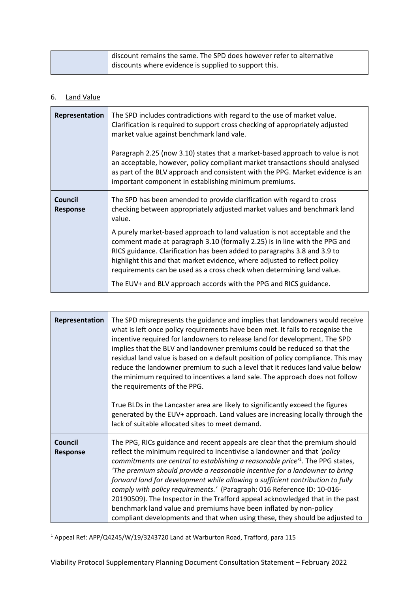| discount remains the same. The SPD does however refer to alternative |
|----------------------------------------------------------------------|
| discounts where evidence is supplied to support this.                |

# 6. Land Value

| Representation                    | The SPD includes contradictions with regard to the use of market value.<br>Clarification is required to support cross checking of appropriately adjusted<br>market value against benchmark land vale.<br>Paragraph 2.25 (now 3.10) states that a market-based approach to value is not<br>an acceptable, however, policy compliant market transactions should analysed<br>as part of the BLV approach and consistent with the PPG. Market evidence is an<br>important component in establishing minimum premiums. |
|-----------------------------------|-------------------------------------------------------------------------------------------------------------------------------------------------------------------------------------------------------------------------------------------------------------------------------------------------------------------------------------------------------------------------------------------------------------------------------------------------------------------------------------------------------------------|
| <b>Council</b><br><b>Response</b> | The SPD has been amended to provide clarification with regard to cross<br>checking between appropriately adjusted market values and benchmark land<br>value.                                                                                                                                                                                                                                                                                                                                                      |
|                                   | A purely market-based approach to land valuation is not acceptable and the<br>comment made at paragraph 3.10 (formally 2.25) is in line with the PPG and<br>RICS guidance. Clarification has been added to paragraphs 3.8 and 3.9 to<br>highlight this and that market evidence, where adjusted to reflect policy<br>requirements can be used as a cross check when determining land value.                                                                                                                       |
|                                   | The EUV+ and BLV approach accords with the PPG and RICS guidance.                                                                                                                                                                                                                                                                                                                                                                                                                                                 |

| Representation                    | The SPD misrepresents the guidance and implies that landowners would receive<br>what is left once policy requirements have been met. It fails to recognise the<br>incentive required for landowners to release land for development. The SPD<br>implies that the BLV and landowner premiums could be reduced so that the<br>residual land value is based on a default position of policy compliance. This may<br>reduce the landowner premium to such a level that it reduces land value below<br>the minimum required to incentives a land sale. The approach does not follow<br>the requirements of the PPG.<br>True BLDs in the Lancaster area are likely to significantly exceed the figures<br>generated by the EUV+ approach. Land values are increasing locally through the<br>lack of suitable allocated sites to meet demand. |
|-----------------------------------|----------------------------------------------------------------------------------------------------------------------------------------------------------------------------------------------------------------------------------------------------------------------------------------------------------------------------------------------------------------------------------------------------------------------------------------------------------------------------------------------------------------------------------------------------------------------------------------------------------------------------------------------------------------------------------------------------------------------------------------------------------------------------------------------------------------------------------------|
| <b>Council</b><br><b>Response</b> | The PPG, RICs guidance and recent appeals are clear that the premium should<br>reflect the minimum required to incentivise a landowner and that 'policy<br>commitments are central to establishing a reasonable price <sup>1</sup> . The PPG states,<br>'The premium should provide a reasonable incentive for a landowner to bring<br>forward land for development while allowing a sufficient contribution to fully<br>comply with policy requirements.' (Paragraph: 016 Reference ID: 10-016-<br>20190509). The Inspector in the Trafford appeal acknowledged that in the past<br>benchmark land value and premiums have been inflated by non-policy<br>compliant developments and that when using these, they should be adjusted to                                                                                                |

<sup>1</sup> Appeal Ref: APP/Q4245/W/19/3243720 Land at Warburton Road, Trafford, para 115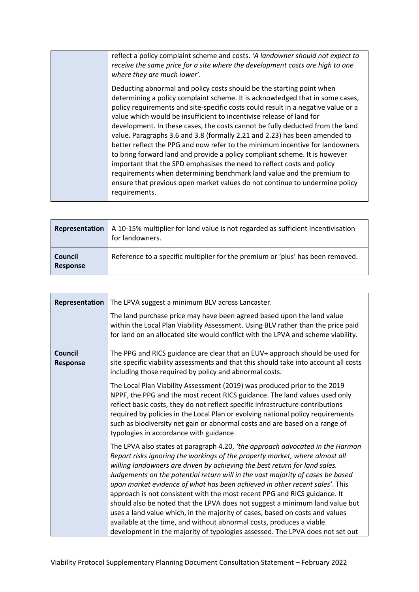| reflect a policy complaint scheme and costs. 'A landowner should not expect to<br>receive the same price for a site where the development costs are high to one<br>where they are much lower'.                                                                                                                                                                                                                                                                                                                                                                                                                                                                                                                                                                                                                                                                                                      |
|-----------------------------------------------------------------------------------------------------------------------------------------------------------------------------------------------------------------------------------------------------------------------------------------------------------------------------------------------------------------------------------------------------------------------------------------------------------------------------------------------------------------------------------------------------------------------------------------------------------------------------------------------------------------------------------------------------------------------------------------------------------------------------------------------------------------------------------------------------------------------------------------------------|
| Deducting abnormal and policy costs should be the starting point when<br>determining a policy complaint scheme. It is acknowledged that in some cases,<br>policy requirements and site-specific costs could result in a negative value or a<br>value which would be insufficient to incentivise release of land for<br>development. In these cases, the costs cannot be fully deducted from the land<br>value. Paragraphs 3.6 and 3.8 (formally 2.21 and 2.23) has been amended to<br>better reflect the PPG and now refer to the minimum incentive for landowners<br>to bring forward land and provide a policy compliant scheme. It is however<br>important that the SPD emphasises the need to reflect costs and policy<br>requirements when determining benchmark land value and the premium to<br>ensure that previous open market values do not continue to undermine policy<br>requirements. |

| Representation             | A 10-15% multiplier for land value is not regarded as sufficient incentivisation<br>for landowners. |
|----------------------------|-----------------------------------------------------------------------------------------------------|
| <b>Council</b><br>Response | Reference to a specific multiplier for the premium or 'plus' has been removed.                      |

| Representation             | The LPVA suggest a minimum BLV across Lancaster.                                                                                                                                                                                                                                                                                                                                                                                                                                                                                                                                                                                                                                                                                                                                                                  |
|----------------------------|-------------------------------------------------------------------------------------------------------------------------------------------------------------------------------------------------------------------------------------------------------------------------------------------------------------------------------------------------------------------------------------------------------------------------------------------------------------------------------------------------------------------------------------------------------------------------------------------------------------------------------------------------------------------------------------------------------------------------------------------------------------------------------------------------------------------|
|                            | The land purchase price may have been agreed based upon the land value<br>within the Local Plan Viability Assessment. Using BLV rather than the price paid<br>for land on an allocated site would conflict with the LPVA and scheme viability.                                                                                                                                                                                                                                                                                                                                                                                                                                                                                                                                                                    |
| <b>Council</b><br>Response | The PPG and RICS guidance are clear that an EUV+ approach should be used for<br>site specific viability assessments and that this should take into account all costs<br>including those required by policy and abnormal costs.                                                                                                                                                                                                                                                                                                                                                                                                                                                                                                                                                                                    |
|                            | The Local Plan Viability Assessment (2019) was produced prior to the 2019<br>NPPF, the PPG and the most recent RICS guidance. The land values used only<br>reflect basic costs, they do not reflect specific infrastructure contributions<br>required by policies in the Local Plan or evolving national policy requirements<br>such as biodiversity net gain or abnormal costs and are based on a range of<br>typologies in accordance with guidance.                                                                                                                                                                                                                                                                                                                                                            |
|                            | The LPVA also states at paragraph 4.20, 'the approach advocated in the Harmon<br>Report risks ignoring the workings of the property market, where almost all<br>willing landowners are driven by achieving the best return for land sales.<br>Judgements on the potential return will in the vast majority of cases be based<br>upon market evidence of what has been achieved in other recent sales'. This<br>approach is not consistent with the most recent PPG and RICS guidance. It<br>should also be noted that the LPVA does not suggest a minimum land value but<br>uses a land value which, in the majority of cases, based on costs and values<br>available at the time, and without abnormal costs, produces a viable<br>development in the majority of typologies assessed. The LPVA does not set out |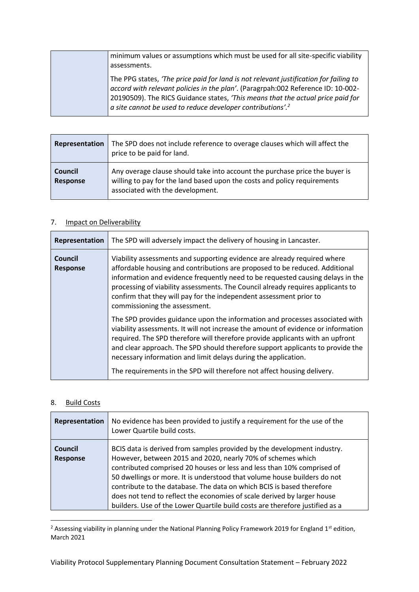| minimum values or assumptions which must be used for all site-specific viability<br>assessments.                                                                                                                                                                                                                                       |
|----------------------------------------------------------------------------------------------------------------------------------------------------------------------------------------------------------------------------------------------------------------------------------------------------------------------------------------|
| The PPG states, 'The price paid for land is not relevant justification for failing to<br>accord with relevant policies in the plan'. (Paragrpah:002 Reference ID: 10-002-<br>20190509). The RICS Guidance states, 'This means that the actual price paid for<br>a site cannot be used to reduce developer contributions'. <sup>2</sup> |

| Representation      | The SPD does not include reference to overage clauses which will affect the<br>price to be paid for land.                                                                                   |
|---------------------|---------------------------------------------------------------------------------------------------------------------------------------------------------------------------------------------|
| Council<br>Response | Any overage clause should take into account the purchase price the buyer is<br>willing to pay for the land based upon the costs and policy requirements<br>associated with the development. |

# 7. **Impact on Deliverability**

| Representation                    | The SPD will adversely impact the delivery of housing in Lancaster.                                                                                                                                                                                                                                                                                                                                                                                                               |
|-----------------------------------|-----------------------------------------------------------------------------------------------------------------------------------------------------------------------------------------------------------------------------------------------------------------------------------------------------------------------------------------------------------------------------------------------------------------------------------------------------------------------------------|
| <b>Council</b><br><b>Response</b> | Viability assessments and supporting evidence are already required where<br>affordable housing and contributions are proposed to be reduced. Additional<br>information and evidence frequently need to be requested causing delays in the<br>processing of viability assessments. The Council already requires applicants to<br>confirm that they will pay for the independent assessment prior to<br>commissioning the assessment.                                               |
|                                   | The SPD provides guidance upon the information and processes associated with<br>viability assessments. It will not increase the amount of evidence or information<br>required. The SPD therefore will therefore provide applicants with an upfront<br>and clear approach. The SPD should therefore support applicants to provide the<br>necessary information and limit delays during the application.<br>The requirements in the SPD will therefore not affect housing delivery. |

#### 8. Build Costs

| Representation             | No evidence has been provided to justify a requirement for the use of the<br>Lower Quartile build costs.                                                                                                                                                                                                                                                                                                                                                                                                                         |
|----------------------------|----------------------------------------------------------------------------------------------------------------------------------------------------------------------------------------------------------------------------------------------------------------------------------------------------------------------------------------------------------------------------------------------------------------------------------------------------------------------------------------------------------------------------------|
| Council<br><b>Response</b> | BCIS data is derived from samples provided by the development industry.<br>However, between 2015 and 2020, nearly 70% of schemes which<br>contributed comprised 20 houses or less and less than 10% comprised of<br>50 dwellings or more. It is understood that volume house builders do not<br>contribute to the database. The data on which BCIS is based therefore<br>does not tend to reflect the economies of scale derived by larger house<br>builders. Use of the Lower Quartile build costs are therefore justified as a |

<sup>&</sup>lt;sup>2</sup> Assessing viability in planning under the National Planning Policy Framework 2019 for England 1<sup>st</sup> edition, March 2021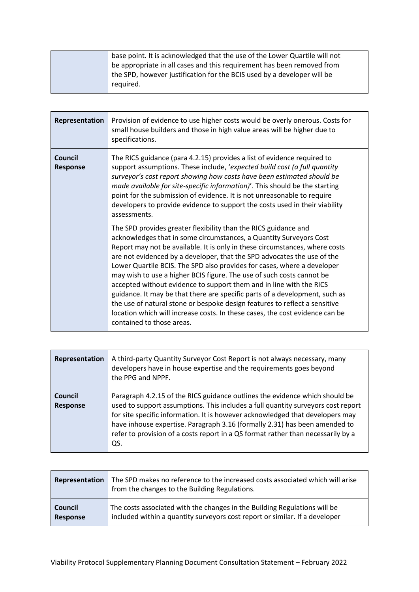| base point. It is acknowledged that the use of the Lower Quartile will not |
|----------------------------------------------------------------------------|
| be appropriate in all cases and this requirement has been removed from     |
| the SPD, however justification for the BCIS used by a developer will be    |
| required.                                                                  |
|                                                                            |

| Representation             | Provision of evidence to use higher costs would be overly onerous. Costs for<br>small house builders and those in high value areas will be higher due to<br>specifications.                                                                                                                                                                                                                                                                                                                                                                                                                                                                                                                                                                                                                                                                                                                                                                                                                                                                                                                                                                                                                                                                                                                     |
|----------------------------|-------------------------------------------------------------------------------------------------------------------------------------------------------------------------------------------------------------------------------------------------------------------------------------------------------------------------------------------------------------------------------------------------------------------------------------------------------------------------------------------------------------------------------------------------------------------------------------------------------------------------------------------------------------------------------------------------------------------------------------------------------------------------------------------------------------------------------------------------------------------------------------------------------------------------------------------------------------------------------------------------------------------------------------------------------------------------------------------------------------------------------------------------------------------------------------------------------------------------------------------------------------------------------------------------|
| Council<br><b>Response</b> | The RICS guidance (para 4.2.15) provides a list of evidence required to<br>support assumptions. These include, 'expected build cost (a full quantity<br>surveyor's cost report showing how costs have been estimated should be<br>made available for site-specific information)'. This should be the starting<br>point for the submission of evidence. It is not unreasonable to require<br>developers to provide evidence to support the costs used in their viability<br>assessments.<br>The SPD provides greater flexibility than the RICS guidance and<br>acknowledges that in some circumstances, a Quantity Surveyors Cost<br>Report may not be available. It is only in these circumstances, where costs<br>are not evidenced by a developer, that the SPD advocates the use of the<br>Lower Quartile BCIS. The SPD also provides for cases, where a developer<br>may wish to use a higher BCIS figure. The use of such costs cannot be<br>accepted without evidence to support them and in line with the RICS<br>guidance. It may be that there are specific parts of a development, such as<br>the use of natural stone or bespoke design features to reflect a sensitive<br>location which will increase costs. In these cases, the cost evidence can be<br>contained to those areas. |

| Representation             | A third-party Quantity Surveyor Cost Report is not always necessary, many<br>developers have in house expertise and the requirements goes beyond<br>the PPG and NPPF.                                                                                                                                                                                                                                                     |
|----------------------------|---------------------------------------------------------------------------------------------------------------------------------------------------------------------------------------------------------------------------------------------------------------------------------------------------------------------------------------------------------------------------------------------------------------------------|
| Council<br><b>Response</b> | Paragraph 4.2.15 of the RICS guidance outlines the evidence which should be<br>used to support assumptions. This includes a full quantity surveyors cost report<br>for site specific information. It is however acknowledged that developers may<br>have inhouse expertise. Paragraph 3.16 (formally 2.31) has been amended to<br>refer to provision of a costs report in a QS format rather than necessarily by a<br>QS. |

| Representation | The SPD makes no reference to the increased costs associated which will arise<br>from the changes to the Building Regulations. |
|----------------|--------------------------------------------------------------------------------------------------------------------------------|
| Council        | The costs associated with the changes in the Building Regulations will be                                                      |
| Response       | included within a quantity surveyors cost report or similar. If a developer                                                    |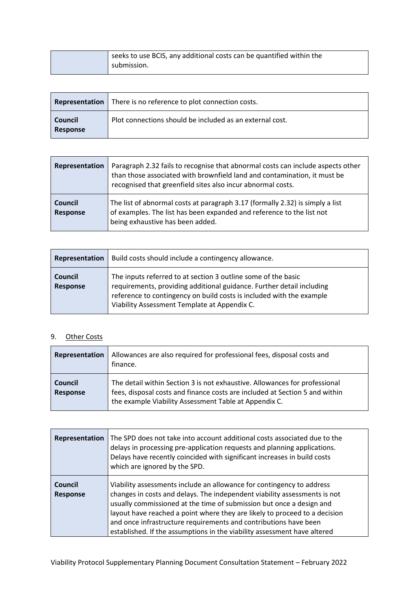| seeks to use BCIS, any additional costs can be quantified within the |
|----------------------------------------------------------------------|
| submission.                                                          |

|                     | <b>Representation</b>   There is no reference to plot connection costs. |
|---------------------|-------------------------------------------------------------------------|
| Council<br>Response | Plot connections should be included as an external cost.                |

| Representation                    | Paragraph 2.32 fails to recognise that abnormal costs can include aspects other<br>than those associated with brownfield land and contamination, it must be<br>recognised that greenfield sites also incur abnormal costs. |
|-----------------------------------|----------------------------------------------------------------------------------------------------------------------------------------------------------------------------------------------------------------------------|
| <b>Council</b><br><b>Response</b> | The list of abnormal costs at paragraph 3.17 (formally 2.32) is simply a list<br>of examples. The list has been expanded and reference to the list not<br>being exhaustive has been added.                                 |

| Representation             | Build costs should include a contingency allowance.                                                                                                                                                                                                            |
|----------------------------|----------------------------------------------------------------------------------------------------------------------------------------------------------------------------------------------------------------------------------------------------------------|
| <b>Council</b><br>Response | The inputs referred to at section 3 outline some of the basic<br>requirements, providing additional guidance. Further detail including<br>reference to contingency on build costs is included with the example<br>Viability Assessment Template at Appendix C. |

# 9. Other Costs

| Representation             | Allowances are also required for professional fees, disposal costs and<br>finance.                                                                                                                                 |
|----------------------------|--------------------------------------------------------------------------------------------------------------------------------------------------------------------------------------------------------------------|
| <b>Council</b><br>Response | The detail within Section 3 is not exhaustive. Allowances for professional<br>fees, disposal costs and finance costs are included at Section 5 and within<br>the example Viability Assessment Table at Appendix C. |

| Representation      | The SPD does not take into account additional costs associated due to the<br>delays in processing pre-application requests and planning applications.<br>Delays have recently coincided with significant increases in build costs<br>which are ignored by the SPD.                                                                                                                                                                                       |
|---------------------|----------------------------------------------------------------------------------------------------------------------------------------------------------------------------------------------------------------------------------------------------------------------------------------------------------------------------------------------------------------------------------------------------------------------------------------------------------|
| Council<br>Response | Viability assessments include an allowance for contingency to address<br>changes in costs and delays. The independent viability assessments is not<br>usually commissioned at the time of submission but once a design and<br>layout have reached a point where they are likely to proceed to a decision<br>and once infrastructure requirements and contributions have been<br>established. If the assumptions in the viability assessment have altered |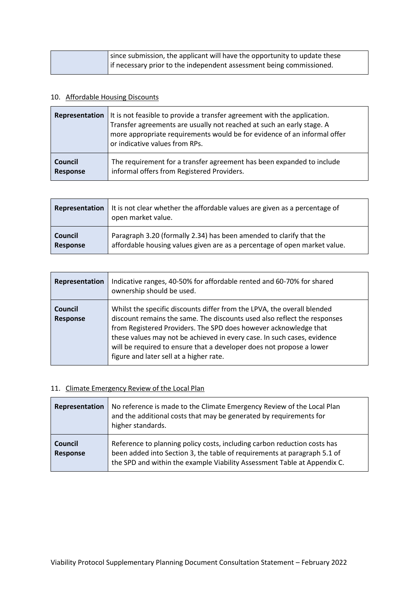| since submission, the applicant will have the opportunity to update these |
|---------------------------------------------------------------------------|
| If necessary prior to the independent assessment being commissioned.      |

# 10. Affordable Housing Discounts

|                 | <b>Representation</b> It is not feasible to provide a transfer agreement with the application.<br>Transfer agreements are usually not reached at such an early stage. A<br>more appropriate requirements would be for evidence of an informal offer<br>or indicative values from RPs. |
|-----------------|---------------------------------------------------------------------------------------------------------------------------------------------------------------------------------------------------------------------------------------------------------------------------------------|
| <b>Council</b>  | The requirement for a transfer agreement has been expanded to include                                                                                                                                                                                                                 |
| <b>Response</b> | informal offers from Registered Providers.                                                                                                                                                                                                                                            |

| Representation | It is not clear whether the affordable values are given as a percentage of<br>open market value. |
|----------------|--------------------------------------------------------------------------------------------------|
| Council        | Paragraph 3.20 (formally 2.34) has been amended to clarify that the                              |
| Response       | affordable housing values given are as a percentage of open market value.                        |

| Representation                    | Indicative ranges, 40-50% for affordable rented and 60-70% for shared<br>ownership should be used.                                                                                                                                                                                                                                                                                                                    |
|-----------------------------------|-----------------------------------------------------------------------------------------------------------------------------------------------------------------------------------------------------------------------------------------------------------------------------------------------------------------------------------------------------------------------------------------------------------------------|
| <b>Council</b><br><b>Response</b> | Whilst the specific discounts differ from the LPVA, the overall blended<br>discount remains the same. The discounts used also reflect the responses<br>from Registered Providers. The SPD does however acknowledge that<br>these values may not be achieved in every case. In such cases, evidence<br>will be required to ensure that a developer does not propose a lower<br>figure and later sell at a higher rate. |

## 11. Climate Emergency Review of the Local Plan

| Representation             | No reference is made to the Climate Emergency Review of the Local Plan<br>and the additional costs that may be generated by requirements for<br>higher standards.                                                                |
|----------------------------|----------------------------------------------------------------------------------------------------------------------------------------------------------------------------------------------------------------------------------|
| Council<br><b>Response</b> | Reference to planning policy costs, including carbon reduction costs has<br>been added into Section 3, the table of requirements at paragraph 5.1 of<br>the SPD and within the example Viability Assessment Table at Appendix C. |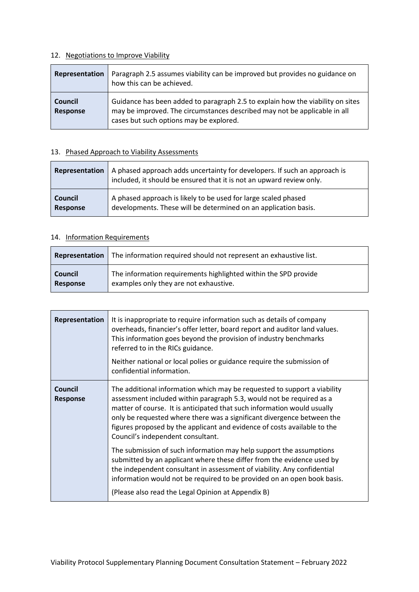#### 12. Negotiations to Improve Viability

| Representation             | Paragraph 2.5 assumes viability can be improved but provides no guidance on<br>how this can be achieved.                                                                                               |
|----------------------------|--------------------------------------------------------------------------------------------------------------------------------------------------------------------------------------------------------|
| Council<br><b>Response</b> | Guidance has been added to paragraph 2.5 to explain how the viability on sites<br>may be improved. The circumstances described may not be applicable in all<br>cases but such options may be explored. |

# 13. Phased Approach to Viability Assessments

| Representation | A phased approach adds uncertainty for developers. If such an approach is<br>included, it should be ensured that it is not an upward review only. |
|----------------|---------------------------------------------------------------------------------------------------------------------------------------------------|
| Council        | A phased approach is likely to be used for large scaled phased                                                                                    |
| Response       | developments. These will be determined on an application basis.                                                                                   |

# 14. Information Requirements

| Representation | The information required should not represent an exhaustive list. |
|----------------|-------------------------------------------------------------------|
| Council        | The information requirements highlighted within the SPD provide   |
| Response       | examples only they are not exhaustive.                            |

| Representation             | It is inappropriate to require information such as details of company<br>overheads, financier's offer letter, board report and auditor land values.<br>This information goes beyond the provision of industry benchmarks<br>referred to in the RICs guidance.<br>Neither national or local polies or guidance require the submission of<br>confidential information.                                                   |
|----------------------------|------------------------------------------------------------------------------------------------------------------------------------------------------------------------------------------------------------------------------------------------------------------------------------------------------------------------------------------------------------------------------------------------------------------------|
| Council<br><b>Response</b> | The additional information which may be requested to support a viability<br>assessment included within paragraph 5.3, would not be required as a<br>matter of course. It is anticipated that such information would usually<br>only be requested where there was a significant divergence between the<br>figures proposed by the applicant and evidence of costs available to the<br>Council's independent consultant. |
|                            | The submission of such information may help support the assumptions<br>submitted by an applicant where these differ from the evidence used by<br>the independent consultant in assessment of viability. Any confidential<br>information would not be required to be provided on an open book basis.                                                                                                                    |
|                            | (Please also read the Legal Opinion at Appendix B)                                                                                                                                                                                                                                                                                                                                                                     |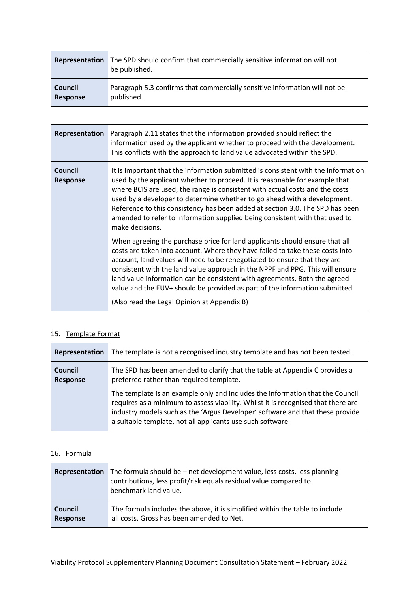|                 | <b>Representation</b> The SPD should confirm that commercially sensitive information will not<br>be published. |
|-----------------|----------------------------------------------------------------------------------------------------------------|
| Council         | Paragraph 5.3 confirms that commercially sensitive information will not be                                     |
| <b>Response</b> | published.                                                                                                     |

| Representation                    | Paragraph 2.11 states that the information provided should reflect the<br>information used by the applicant whether to proceed with the development.<br>This conflicts with the approach to land value advocated within the SPD.                                                                                                                                                                                                                                                                                                      |
|-----------------------------------|---------------------------------------------------------------------------------------------------------------------------------------------------------------------------------------------------------------------------------------------------------------------------------------------------------------------------------------------------------------------------------------------------------------------------------------------------------------------------------------------------------------------------------------|
| <b>Council</b><br><b>Response</b> | It is important that the information submitted is consistent with the information<br>used by the applicant whether to proceed. It is reasonable for example that<br>where BCIS are used, the range is consistent with actual costs and the costs<br>used by a developer to determine whether to go ahead with a development.<br>Reference to this consistency has been added at section 3.0. The SPD has been<br>amended to refer to information supplied being consistent with that used to<br>make decisions.                       |
|                                   | When agreeing the purchase price for land applicants should ensure that all<br>costs are taken into account. Where they have failed to take these costs into<br>account, land values will need to be renegotiated to ensure that they are<br>consistent with the land value approach in the NPPF and PPG. This will ensure<br>land value information can be consistent with agreements. Both the agreed<br>value and the EUV+ should be provided as part of the information submitted.<br>(Also read the Legal Opinion at Appendix B) |

## 15. Template Format

| Representation             | The template is not a recognised industry template and has not been tested.                                                                                                                                                                                                                                       |
|----------------------------|-------------------------------------------------------------------------------------------------------------------------------------------------------------------------------------------------------------------------------------------------------------------------------------------------------------------|
| Council<br><b>Response</b> | The SPD has been amended to clarify that the table at Appendix C provides a<br>preferred rather than required template.                                                                                                                                                                                           |
|                            | The template is an example only and includes the information that the Council<br>requires as a minimum to assess viability. Whilst it is recognised that there are<br>industry models such as the 'Argus Developer' software and that these provide<br>a suitable template, not all applicants use such software. |

# 16. Formula

| Representation  | The formula should be $-$ net development value, less costs, less planning<br>contributions, less profit/risk equals residual value compared to<br>benchmark land value. |
|-----------------|--------------------------------------------------------------------------------------------------------------------------------------------------------------------------|
| Council         | The formula includes the above, it is simplified within the table to include                                                                                             |
| <b>Response</b> | all costs. Gross has been amended to Net.                                                                                                                                |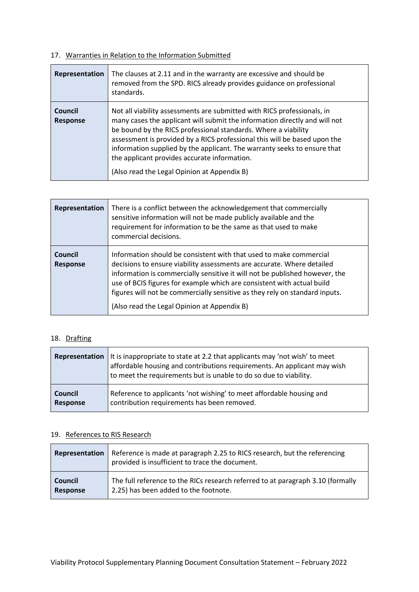# 17. Warranties in Relation to the Information Submitted

| Representation             | The clauses at 2.11 and in the warranty are excessive and should be<br>removed from the SPD. RICS already provides guidance on professional<br>standards.                                                                                                                                                                                                                                                                                                                       |
|----------------------------|---------------------------------------------------------------------------------------------------------------------------------------------------------------------------------------------------------------------------------------------------------------------------------------------------------------------------------------------------------------------------------------------------------------------------------------------------------------------------------|
| Council<br><b>Response</b> | Not all viability assessments are submitted with RICS professionals, in<br>many cases the applicant will submit the information directly and will not<br>be bound by the RICS professional standards. Where a viability<br>assessment is provided by a RICS professional this will be based upon the<br>information supplied by the applicant. The warranty seeks to ensure that<br>the applicant provides accurate information.<br>(Also read the Legal Opinion at Appendix B) |

| Representation             | There is a conflict between the acknowledgement that commercially<br>sensitive information will not be made publicly available and the<br>requirement for information to be the same as that used to make<br>commercial decisions.                                                                                                                                                                                                  |
|----------------------------|-------------------------------------------------------------------------------------------------------------------------------------------------------------------------------------------------------------------------------------------------------------------------------------------------------------------------------------------------------------------------------------------------------------------------------------|
| Council<br><b>Response</b> | Information should be consistent with that used to make commercial<br>decisions to ensure viability assessments are accurate. Where detailed<br>information is commercially sensitive it will not be published however, the<br>use of BCIS figures for example which are consistent with actual build<br>figures will not be commercially sensitive as they rely on standard inputs.<br>(Also read the Legal Opinion at Appendix B) |

# 18. Drafting

|                 | <b>Representation</b> It is inappropriate to state at 2.2 that applicants may 'not wish' to meet<br>affordable housing and contributions requirements. An applicant may wish<br>to meet the requirements but is unable to do so due to viability. |
|-----------------|---------------------------------------------------------------------------------------------------------------------------------------------------------------------------------------------------------------------------------------------------|
| <b>Council</b>  | Reference to applicants 'not wishing' to meet affordable housing and                                                                                                                                                                              |
| <b>Response</b> | contribution requirements has been removed.                                                                                                                                                                                                       |

# 19. References to RIS Research

| Representation | Reference is made at paragraph 2.25 to RICS research, but the referencing<br>provided is insufficient to trace the document. |
|----------------|------------------------------------------------------------------------------------------------------------------------------|
| <b>Council</b> | The full reference to the RICs research referred to at paragraph 3.10 (formally                                              |
| Response       | 2.25) has been added to the footnote.                                                                                        |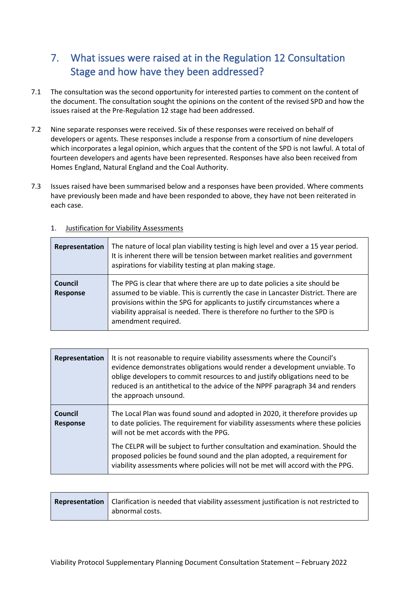# <span id="page-19-0"></span>7. What issues were raised at in the Regulation 12 Consultation Stage and how have they been addressed?

- 7.1 The consultation was the second opportunity for interested parties to comment on the content of the document. The consultation sought the opinions on the content of the revised SPD and how the issues raised at the Pre-Regulation 12 stage had been addressed.
- 7.2 Nine separate responses were received. Six of these responses were received on behalf of developers or agents. These responses include a response from a consortium of nine developers which incorporates a legal opinion, which argues that the content of the SPD is not lawful. A total of fourteen developers and agents have been represented. Responses have also been received from Homes England, Natural England and the Coal Authority.
- 7.3 Issues raised have been summarised below and a responses have been provided. Where comments have previously been made and have been responded to above, they have not been reiterated in each case.

| Representation             | The nature of local plan viability testing is high level and over a 15 year period.<br>It is inherent there will be tension between market realities and government<br>aspirations for viability testing at plan making stage.                                                                                                                    |
|----------------------------|---------------------------------------------------------------------------------------------------------------------------------------------------------------------------------------------------------------------------------------------------------------------------------------------------------------------------------------------------|
| Council<br><b>Response</b> | The PPG is clear that where there are up to date policies a site should be<br>assumed to be viable. This is currently the case in Lancaster District. There are<br>provisions within the SPG for applicants to justify circumstances where a<br>viability appraisal is needed. There is therefore no further to the SPD is<br>amendment required. |

#### 1. Justification for Viability Assessments

| Representation             | It is not reasonable to require viability assessments where the Council's<br>evidence demonstrates obligations would render a development unviable. To<br>oblige developers to commit resources to and justify obligations need to be<br>reduced is an antithetical to the advice of the NPPF paragraph 34 and renders<br>the approach unsound. |
|----------------------------|-------------------------------------------------------------------------------------------------------------------------------------------------------------------------------------------------------------------------------------------------------------------------------------------------------------------------------------------------|
| Council<br><b>Response</b> | The Local Plan was found sound and adopted in 2020, it therefore provides up<br>to date policies. The requirement for viability assessments where these policies<br>will not be met accords with the PPG.                                                                                                                                       |
|                            | The CELPR will be subject to further consultation and examination. Should the<br>proposed policies be found sound and the plan adopted, a requirement for<br>viability assessments where policies will not be met will accord with the PPG.                                                                                                     |

| Representation   Clarification is needed that viability assessment justification is not restricted to |
|-------------------------------------------------------------------------------------------------------|
| abnormal costs.                                                                                       |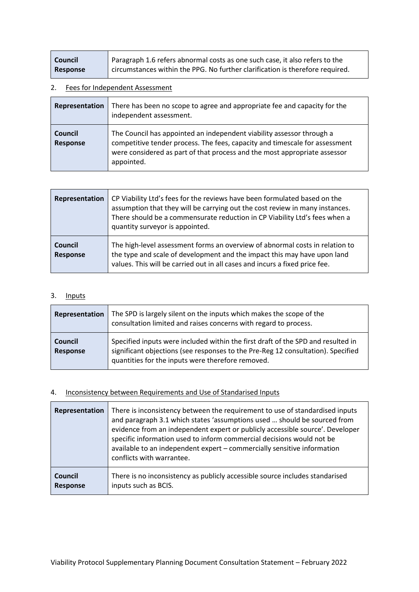| <b>Council</b> | Paragraph 1.6 refers abnormal costs as one such case, it also refers to the   |
|----------------|-------------------------------------------------------------------------------|
| Response       | circumstances within the PPG. No further clarification is therefore required. |

#### 2. Fees for Independent Assessment

| Representation                    | There has been no scope to agree and appropriate fee and capacity for the<br>independent assessment.                                                                                                                                            |
|-----------------------------------|-------------------------------------------------------------------------------------------------------------------------------------------------------------------------------------------------------------------------------------------------|
| <b>Council</b><br><b>Response</b> | The Council has appointed an independent viability assessor through a<br>competitive tender process. The fees, capacity and timescale for assessment<br>were considered as part of that process and the most appropriate assessor<br>appointed. |

| Representation                    | CP Viability Ltd's fees for the reviews have been formulated based on the<br>assumption that they will be carrying out the cost review in many instances.<br>There should be a commensurate reduction in CP Viability Ltd's fees when a<br>quantity surveyor is appointed. |
|-----------------------------------|----------------------------------------------------------------------------------------------------------------------------------------------------------------------------------------------------------------------------------------------------------------------------|
| <b>Council</b><br><b>Response</b> | The high-level assessment forms an overview of abnormal costs in relation to<br>the type and scale of development and the impact this may have upon land<br>values. This will be carried out in all cases and incurs a fixed price fee.                                    |

#### 3. Inputs

| Representation             | The SPD is largely silent on the inputs which makes the scope of the<br>consultation limited and raises concerns with regard to process.                                                                                  |
|----------------------------|---------------------------------------------------------------------------------------------------------------------------------------------------------------------------------------------------------------------------|
| <b>Council</b><br>Response | Specified inputs were included within the first draft of the SPD and resulted in<br>significant objections (see responses to the Pre-Reg 12 consultation). Specified<br>quantities for the inputs were therefore removed. |

# 4. Inconsistency between Requirements and Use of Standarised Inputs

| Representation  | There is inconsistency between the requirement to use of standardised inputs<br>and paragraph 3.1 which states 'assumptions used  should be sourced from<br>evidence from an independent expert or publicly accessible source'. Developer<br>specific information used to inform commercial decisions would not be<br>available to an independent expert - commercially sensitive information<br>conflicts with warrantee. |
|-----------------|----------------------------------------------------------------------------------------------------------------------------------------------------------------------------------------------------------------------------------------------------------------------------------------------------------------------------------------------------------------------------------------------------------------------------|
| <b>Council</b>  | There is no inconsistency as publicly accessible source includes standarised                                                                                                                                                                                                                                                                                                                                               |
| <b>Response</b> | inputs such as BCIS.                                                                                                                                                                                                                                                                                                                                                                                                       |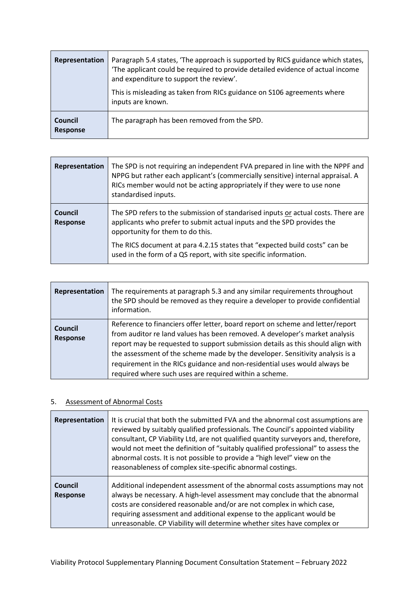| Representation             | Paragraph 5.4 states, 'The approach is supported by RICS guidance which states,<br>The applicant could be required to provide detailed evidence of actual income<br>and expenditure to support the review'.<br>This is misleading as taken from RICs guidance on S106 agreements where<br>inputs are known. |
|----------------------------|-------------------------------------------------------------------------------------------------------------------------------------------------------------------------------------------------------------------------------------------------------------------------------------------------------------|
| Council<br><b>Response</b> | The paragraph has been removed from the SPD.                                                                                                                                                                                                                                                                |

| Representation             | The SPD is not requiring an independent FVA prepared in line with the NPPF and<br>NPPG but rather each applicant's (commercially sensitive) internal appraisal. A<br>RICs member would not be acting appropriately if they were to use none<br>standardised inputs.                                                                               |
|----------------------------|---------------------------------------------------------------------------------------------------------------------------------------------------------------------------------------------------------------------------------------------------------------------------------------------------------------------------------------------------|
| Council<br><b>Response</b> | The SPD refers to the submission of standarised inputs or actual costs. There are<br>applicants who prefer to submit actual inputs and the SPD provides the<br>opportunity for them to do this.<br>The RICS document at para 4.2.15 states that "expected build costs" can be<br>used in the form of a QS report, with site specific information. |

| Representation             | The requirements at paragraph 5.3 and any similar requirements throughout<br>the SPD should be removed as they require a developer to provide confidential<br>information.                                                                                                                                                                                                                                                                                               |
|----------------------------|--------------------------------------------------------------------------------------------------------------------------------------------------------------------------------------------------------------------------------------------------------------------------------------------------------------------------------------------------------------------------------------------------------------------------------------------------------------------------|
| Council<br><b>Response</b> | Reference to financiers offer letter, board report on scheme and letter/report<br>from auditor re land values has been removed. A developer's market analysis<br>report may be requested to support submission details as this should align with<br>the assessment of the scheme made by the developer. Sensitivity analysis is a<br>requirement in the RICs guidance and non-residential uses would always be<br>required where such uses are required within a scheme. |

# 5. Assessment of Abnormal Costs

| Representation             | It is crucial that both the submitted FVA and the abnormal cost assumptions are<br>reviewed by suitably qualified professionals. The Council's appointed viability<br>consultant, CP Viability Ltd, are not qualified quantity surveyors and, therefore,<br>would not meet the definition of "suitably qualified professional" to assess the<br>abnormal costs. It is not possible to provide a "high level" view on the<br>reasonableness of complex site-specific abnormal costings. |
|----------------------------|----------------------------------------------------------------------------------------------------------------------------------------------------------------------------------------------------------------------------------------------------------------------------------------------------------------------------------------------------------------------------------------------------------------------------------------------------------------------------------------|
| Council<br><b>Response</b> | Additional independent assessment of the abnormal costs assumptions may not<br>always be necessary. A high-level assessment may conclude that the abnormal<br>costs are considered reasonable and/or are not complex in which case,<br>requiring assessment and additional expense to the applicant would be<br>unreasonable. CP Viability will determine whether sites have complex or                                                                                                |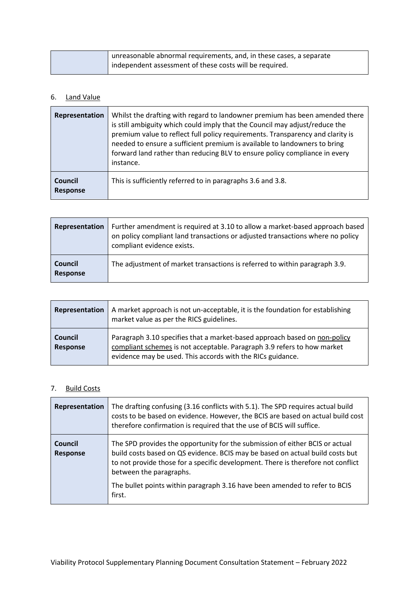| unreasonable abnormal requirements, and, in these cases, a separate |
|---------------------------------------------------------------------|
| i independent assessment of these costs will be required.           |

# 6. Land Value

| Representation             | Whilst the drafting with regard to landowner premium has been amended there<br>is still ambiguity which could imply that the Council may adjust/reduce the<br>premium value to reflect full policy requirements. Transparency and clarity is<br>needed to ensure a sufficient premium is available to landowners to bring<br>forward land rather than reducing BLV to ensure policy compliance in every<br>instance. |
|----------------------------|----------------------------------------------------------------------------------------------------------------------------------------------------------------------------------------------------------------------------------------------------------------------------------------------------------------------------------------------------------------------------------------------------------------------|
| Council<br><b>Response</b> | This is sufficiently referred to in paragraphs 3.6 and 3.8.                                                                                                                                                                                                                                                                                                                                                          |

| Representation             | Further amendment is required at 3.10 to allow a market-based approach based<br>on policy compliant land transactions or adjusted transactions where no policy<br>compliant evidence exists. |
|----------------------------|----------------------------------------------------------------------------------------------------------------------------------------------------------------------------------------------|
| Council<br><b>Response</b> | The adjustment of market transactions is referred to within paragraph 3.9.                                                                                                                   |

| Representation                    | A market approach is not un-acceptable, it is the foundation for establishing<br>market value as per the RICS guidelines.                                                                                          |
|-----------------------------------|--------------------------------------------------------------------------------------------------------------------------------------------------------------------------------------------------------------------|
| <b>Council</b><br><b>Response</b> | Paragraph 3.10 specifies that a market-based approach based on non-policy<br>compliant schemes is not acceptable. Paragraph 3.9 refers to how market<br>evidence may be used. This accords with the RICs guidance. |

## 7. Build Costs

| Representation                    | The drafting confusing (3.16 conflicts with 5.1). The SPD requires actual build<br>costs to be based on evidence. However, the BCIS are based on actual build cost<br>therefore confirmation is required that the use of BCIS will suffice.                                  |
|-----------------------------------|------------------------------------------------------------------------------------------------------------------------------------------------------------------------------------------------------------------------------------------------------------------------------|
| <b>Council</b><br><b>Response</b> | The SPD provides the opportunity for the submission of either BCIS or actual<br>build costs based on QS evidence. BCIS may be based on actual build costs but<br>to not provide those for a specific development. There is therefore not conflict<br>between the paragraphs. |
|                                   | The bullet points within paragraph 3.16 have been amended to refer to BCIS<br>first.                                                                                                                                                                                         |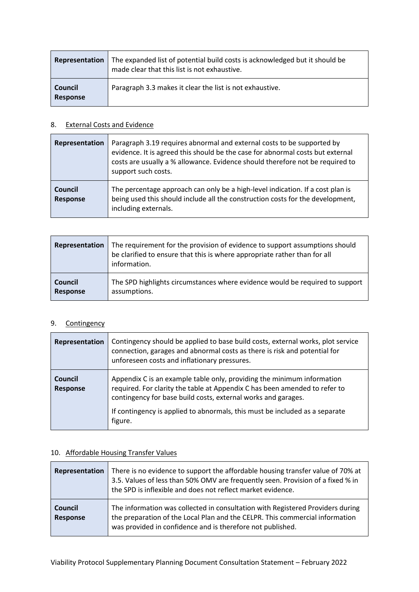| Representation                    | The expanded list of potential build costs is acknowledged but it should be<br>made clear that this list is not exhaustive. |
|-----------------------------------|-----------------------------------------------------------------------------------------------------------------------------|
| <b>Council</b><br><b>Response</b> | Paragraph 3.3 makes it clear the list is not exhaustive.                                                                    |

#### 8. External Costs and Evidence

| Representation                    | Paragraph 3.19 requires abnormal and external costs to be supported by<br>evidence. It is agreed this should be the case for abnormal costs but external<br>costs are usually a % allowance. Evidence should therefore not be required to<br>support such costs. |
|-----------------------------------|------------------------------------------------------------------------------------------------------------------------------------------------------------------------------------------------------------------------------------------------------------------|
| <b>Council</b><br><b>Response</b> | The percentage approach can only be a high-level indication. If a cost plan is<br>being used this should include all the construction costs for the development,<br>including externals.                                                                         |

| Representation  | The requirement for the provision of evidence to support assumptions should<br>be clarified to ensure that this is where appropriate rather than for all<br>information. |
|-----------------|--------------------------------------------------------------------------------------------------------------------------------------------------------------------------|
| <b>Council</b>  | The SPD highlights circumstances where evidence would be required to support                                                                                             |
| <b>Response</b> | assumptions.                                                                                                                                                             |

# 9. Contingency

| Representation             | Contingency should be applied to base build costs, external works, plot service<br>connection, garages and abnormal costs as there is risk and potential for<br>unforeseen costs and inflationary pressures.                                                                                                    |
|----------------------------|-----------------------------------------------------------------------------------------------------------------------------------------------------------------------------------------------------------------------------------------------------------------------------------------------------------------|
| Council<br><b>Response</b> | Appendix C is an example table only, providing the minimum information<br>required. For clarity the table at Appendix C has been amended to refer to<br>contingency for base build costs, external works and garages.<br>If contingency is applied to abnormals, this must be included as a separate<br>figure. |

#### 10. Affordable Housing Transfer Values

| Representation             | There is no evidence to support the affordable housing transfer value of 70% at<br>3.5. Values of less than 50% OMV are frequently seen. Provision of a fixed % in<br>the SPD is inflexible and does not reflect market evidence. |
|----------------------------|-----------------------------------------------------------------------------------------------------------------------------------------------------------------------------------------------------------------------------------|
| Council<br><b>Response</b> | The information was collected in consultation with Registered Providers during<br>the preparation of the Local Plan and the CELPR. This commercial information<br>was provided in confidence and is therefore not published.      |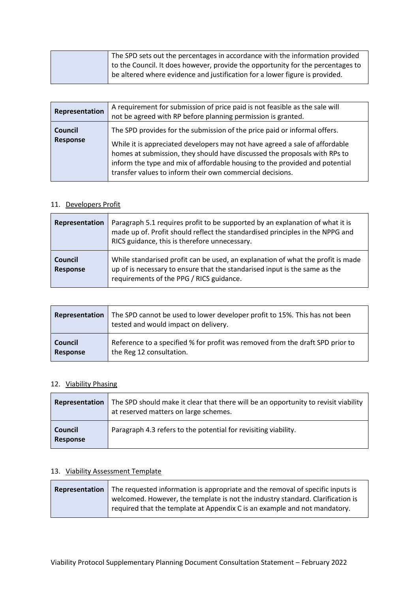| The SPD sets out the percentages in accordance with the information provided    |
|---------------------------------------------------------------------------------|
| to the Council. It does however, provide the opportunity for the percentages to |
| be altered where evidence and justification for a lower figure is provided.     |

| Representation                    | A requirement for submission of price paid is not feasible as the sale will<br>not be agreed with RP before planning permission is granted.                                                                                                                                                                                                                                       |
|-----------------------------------|-----------------------------------------------------------------------------------------------------------------------------------------------------------------------------------------------------------------------------------------------------------------------------------------------------------------------------------------------------------------------------------|
| <b>Council</b><br><b>Response</b> | The SPD provides for the submission of the price paid or informal offers.<br>While it is appreciated developers may not have agreed a sale of affordable<br>homes at submission, they should have discussed the proposals with RPs to<br>inform the type and mix of affordable housing to the provided and potential<br>transfer values to inform their own commercial decisions. |

#### 11. Developers Profit

| Representation                    | Paragraph 5.1 requires profit to be supported by an explanation of what it is<br>made up of. Profit should reflect the standardised principles in the NPPG and<br>RICS guidance, this is therefore unnecessary. |
|-----------------------------------|-----------------------------------------------------------------------------------------------------------------------------------------------------------------------------------------------------------------|
| <b>Council</b><br><b>Response</b> | While standarised profit can be used, an explanation of what the profit is made<br>up of is necessary to ensure that the standarised input is the same as the<br>requirements of the PPG / RICS guidance.       |

| Representation | The SPD cannot be used to lower developer profit to 15%. This has not been<br>tested and would impact on delivery. |
|----------------|--------------------------------------------------------------------------------------------------------------------|
| Council        | Reference to a specified % for profit was removed from the draft SPD prior to                                      |
| Response       | the Reg 12 consultation.                                                                                           |

# 12. Viability Phasing

| Representation             | The SPD should make it clear that there will be an opportunity to revisit viability<br>at reserved matters on large schemes. |
|----------------------------|------------------------------------------------------------------------------------------------------------------------------|
| <b>Council</b><br>Response | Paragraph 4.3 refers to the potential for revisiting viability.                                                              |

#### 13. Viability Assessment Template

| Representation   The requested information is appropriate and the removal of specific inputs is                                                             |
|-------------------------------------------------------------------------------------------------------------------------------------------------------------|
| welcomed. However, the template is not the industry standard. Clarification is<br>required that the template at Appendix C is an example and not mandatory. |
|                                                                                                                                                             |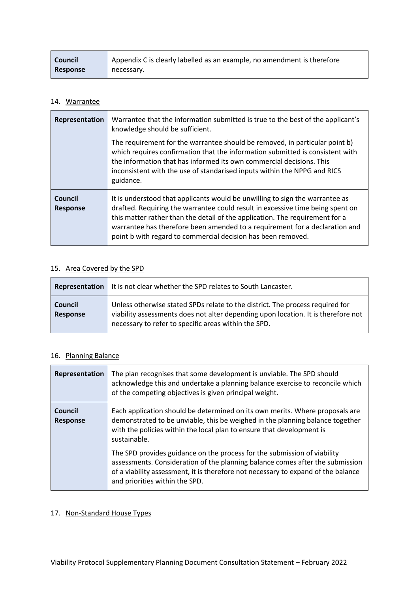| Council  | Appendix C is clearly labelled as an example, no amendment is therefore |
|----------|-------------------------------------------------------------------------|
| Response | necessary.                                                              |

#### 14. Warrantee

| Representation                    | Warrantee that the information submitted is true to the best of the applicant's<br>knowledge should be sufficient.                                                                                                                                                                                                                                                                            |
|-----------------------------------|-----------------------------------------------------------------------------------------------------------------------------------------------------------------------------------------------------------------------------------------------------------------------------------------------------------------------------------------------------------------------------------------------|
|                                   | The requirement for the warrantee should be removed, in particular point b)<br>which requires confirmation that the information submitted is consistent with<br>the information that has informed its own commercial decisions. This<br>inconsistent with the use of standarised inputs within the NPPG and RICS<br>guidance.                                                                 |
| <b>Council</b><br><b>Response</b> | It is understood that applicants would be unwilling to sign the warrantee as<br>drafted. Requiring the warrantee could result in excessive time being spent on<br>this matter rather than the detail of the application. The requirement for a<br>warrantee has therefore been amended to a requirement for a declaration and<br>point b with regard to commercial decision has been removed. |

# 15. Area Covered by the SPD

|                            | <b>Representation</b>   It is not clear whether the SPD relates to South Lancaster.                                                                                                                                        |
|----------------------------|----------------------------------------------------------------------------------------------------------------------------------------------------------------------------------------------------------------------------|
| <b>Council</b><br>Response | Unless otherwise stated SPDs relate to the district. The process required for<br>viability assessments does not alter depending upon location. It is therefore not<br>necessary to refer to specific areas within the SPD. |

# 16. Planning Balance

| Representation             | The plan recognises that some development is unviable. The SPD should<br>acknowledge this and undertake a planning balance exercise to reconcile which<br>of the competing objectives is given principal weight.                                                                 |
|----------------------------|----------------------------------------------------------------------------------------------------------------------------------------------------------------------------------------------------------------------------------------------------------------------------------|
| Council<br><b>Response</b> | Each application should be determined on its own merits. Where proposals are<br>demonstrated to be unviable, this be weighed in the planning balance together<br>with the policies within the local plan to ensure that development is<br>sustainable.                           |
|                            | The SPD provides guidance on the process for the submission of viability<br>assessments. Consideration of the planning balance comes after the submission<br>of a viability assessment, it is therefore not necessary to expand of the balance<br>and priorities within the SPD. |

# 17. Non-Standard House Types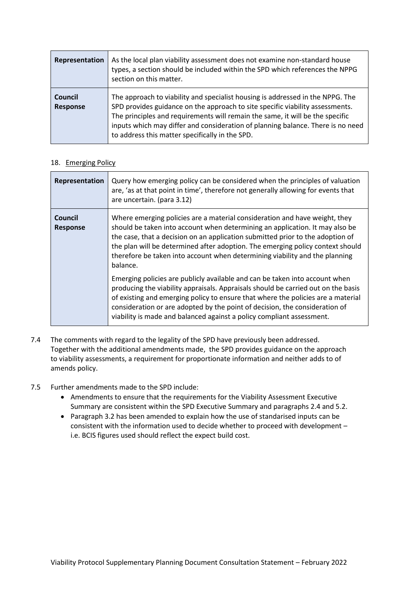| Representation             | As the local plan viability assessment does not examine non-standard house<br>types, a section should be included within the SPD which references the NPPG<br>section on this matter.                                                                                                                                                                                                  |
|----------------------------|----------------------------------------------------------------------------------------------------------------------------------------------------------------------------------------------------------------------------------------------------------------------------------------------------------------------------------------------------------------------------------------|
| Council<br><b>Response</b> | The approach to viability and specialist housing is addressed in the NPPG. The<br>SPD provides guidance on the approach to site specific viability assessments.<br>The principles and requirements will remain the same, it will be the specific<br>inputs which may differ and consideration of planning balance. There is no need<br>to address this matter specifically in the SPD. |

#### 18. Emerging Policy

| Representation             | Query how emerging policy can be considered when the principles of valuation<br>are, 'as at that point in time', therefore not generally allowing for events that<br>are uncertain. (para 3.12)                                                                                                                                                                                                                           |
|----------------------------|---------------------------------------------------------------------------------------------------------------------------------------------------------------------------------------------------------------------------------------------------------------------------------------------------------------------------------------------------------------------------------------------------------------------------|
| Council<br><b>Response</b> | Where emerging policies are a material consideration and have weight, they<br>should be taken into account when determining an application. It may also be<br>the case, that a decision on an application submitted prior to the adoption of<br>the plan will be determined after adoption. The emerging policy context should<br>therefore be taken into account when determining viability and the planning<br>balance. |
|                            | Emerging policies are publicly available and can be taken into account when<br>producing the viability appraisals. Appraisals should be carried out on the basis<br>of existing and emerging policy to ensure that where the policies are a material<br>consideration or are adopted by the point of decision, the consideration of<br>viability is made and balanced against a policy compliant assessment.              |

7.4 The comments with regard to the legality of the SPD have previously been addressed. Together with the additional amendments made, the SPD provides guidance on the approach to viability assessments, a requirement for proportionate information and neither adds to of amends policy.

#### 7.5 Further amendments made to the SPD include:

- Amendments to ensure that the requirements for the Viability Assessment Executive Summary are consistent within the SPD Executive Summary and paragraphs 2.4 and 5.2.
- Paragraph 3.2 has been amended to explain how the use of standarised inputs can be consistent with the information used to decide whether to proceed with development – i.e. BCIS figures used should reflect the expect build cost.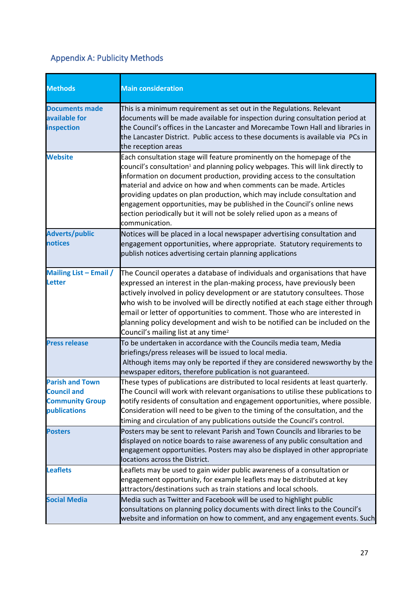# <span id="page-27-0"></span>Appendix A: Publicity Methods

| <b>Methods</b>                                                                         | <b>Main consideration</b>                                                                                                                                                                                                                                                                                                                                                                                                                                                                                                                                                      |
|----------------------------------------------------------------------------------------|--------------------------------------------------------------------------------------------------------------------------------------------------------------------------------------------------------------------------------------------------------------------------------------------------------------------------------------------------------------------------------------------------------------------------------------------------------------------------------------------------------------------------------------------------------------------------------|
| <b>Documents made</b><br>available for<br>inspection                                   | This is a minimum requirement as set out in the Regulations. Relevant<br>documents will be made available for inspection during consultation period at<br>the Council's offices in the Lancaster and Morecambe Town Hall and libraries in<br>the Lancaster District. Public access to these documents is available via PCs in<br>the reception areas                                                                                                                                                                                                                           |
| <b>Website</b>                                                                         | Each consultation stage will feature prominently on the homepage of the<br>council's consultation <sup>1</sup> and planning policy webpages. This will link directly to<br>information on document production, providing access to the consultation<br>material and advice on how and when comments can be made. Articles<br>providing updates on plan production, which may include consultation and<br>engagement opportunities, may be published in the Council's online news<br>section periodically but it will not be solely relied upon as a means of<br>communication. |
| <b>Adverts/public</b><br>notices                                                       | Notices will be placed in a local newspaper advertising consultation and<br>engagement opportunities, where appropriate. Statutory requirements to<br>publish notices advertising certain planning applications                                                                                                                                                                                                                                                                                                                                                                |
| <b>Mailing List - Email /</b><br><b>Letter</b>                                         | The Council operates a database of individuals and organisations that have<br>expressed an interest in the plan-making process, have previously been<br>actively involved in policy development or are statutory consultees. Those<br>who wish to be involved will be directly notified at each stage either through<br>email or letter of opportunities to comment. Those who are interested in<br>planning policy development and wish to be notified can be included on the<br>Council's mailing list at any time <sup>2</sup>                                              |
| <b>Press release</b>                                                                   | To be undertaken in accordance with the Councils media team, Media<br>briefings/press releases will be issued to local media.<br>Although items may only be reported if they are considered newsworthy by the<br>newspaper editors, therefore publication is not guaranteed.                                                                                                                                                                                                                                                                                                   |
| <b>Parish and Town</b><br><b>Council and</b><br><b>Community Group</b><br>publications | These types of publications are distributed to local residents at least quarterly.<br>The Council will work with relevant organisations to utilise these publications to<br>notify residents of consultation and engagement opportunities, where possible.<br>Consideration will need to be given to the timing of the consultation, and the<br>timing and circulation of any publications outside the Council's control.                                                                                                                                                      |
| <b>Posters</b>                                                                         | Posters may be sent to relevant Parish and Town Councils and libraries to be<br>displayed on notice boards to raise awareness of any public consultation and<br>engagement opportunities. Posters may also be displayed in other appropriate<br>locations across the District.                                                                                                                                                                                                                                                                                                 |
| <b>Leaflets</b>                                                                        | Leaflets may be used to gain wider public awareness of a consultation or<br>engagement opportunity, for example leaflets may be distributed at key<br>attractors/destinations such as train stations and local schools.                                                                                                                                                                                                                                                                                                                                                        |
| <b>Social Media</b>                                                                    | Media such as Twitter and Facebook will be used to highlight public<br>consultations on planning policy documents with direct links to the Council's<br>website and information on how to comment, and any engagement events. Such                                                                                                                                                                                                                                                                                                                                             |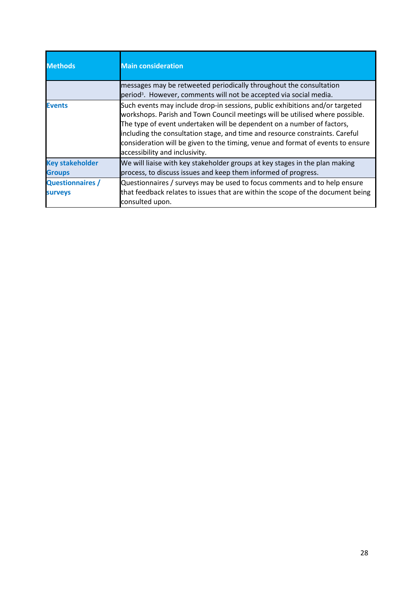| <b>Methods</b>                            | <b>Main consideration</b>                                                                                                                                                                                                                                                                                                                                                                                                                   |
|-------------------------------------------|---------------------------------------------------------------------------------------------------------------------------------------------------------------------------------------------------------------------------------------------------------------------------------------------------------------------------------------------------------------------------------------------------------------------------------------------|
|                                           | messages may be retweeted periodically throughout the consultation<br>period <sup>3</sup> . However, comments will not be accepted via social media.                                                                                                                                                                                                                                                                                        |
| <b>Events</b>                             | Such events may include drop-in sessions, public exhibitions and/or targeted<br>workshops. Parish and Town Council meetings will be utilised where possible.<br>The type of event undertaken will be dependent on a number of factors,<br>including the consultation stage, and time and resource constraints. Careful<br>consideration will be given to the timing, venue and format of events to ensure<br>accessibility and inclusivity. |
| <b>Key stakeholder</b><br><b>Groups</b>   | We will liaise with key stakeholder groups at key stages in the plan making<br>process, to discuss issues and keep them informed of progress.                                                                                                                                                                                                                                                                                               |
| <b>Questionnaires /</b><br><b>surveys</b> | Questionnaires / surveys may be used to focus comments and to help ensure<br>that feedback relates to issues that are within the scope of the document being<br>consulted upon.                                                                                                                                                                                                                                                             |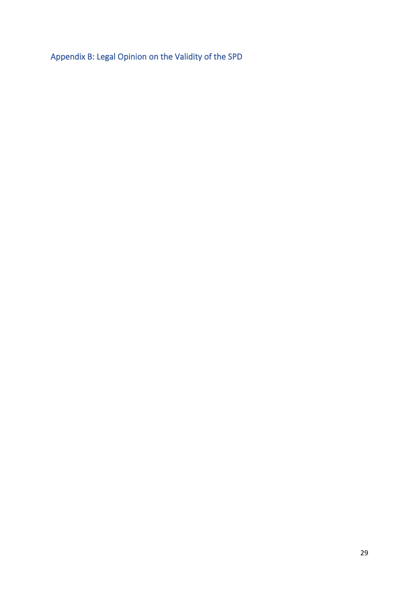<span id="page-29-0"></span>Appendix B: Legal Opinion on the Validity of the SPD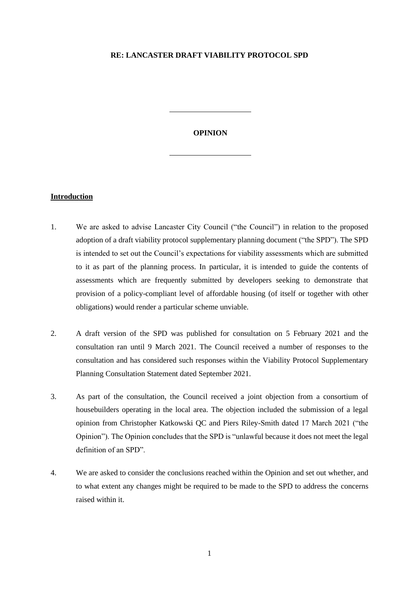#### **RE: LANCASTER DRAFT VIABILITY PROTOCOL SPD**

#### **OPINION**

#### **Introduction**

- 1. We are asked to advise Lancaster City Council ("the Council") in relation to the proposed adoption of a draft viability protocol supplementary planning document ("the SPD"). The SPD is intended to set out the Council's expectations for viability assessments which are submitted to it as part of the planning process. In particular, it is intended to guide the contents of assessments which are frequently submitted by developers seeking to demonstrate that provision of a policy-compliant level of affordable housing (of itself or together with other obligations) would render a particular scheme unviable.
- 2. A draft version of the SPD was published for consultation on 5 February 2021 and the consultation ran until 9 March 2021. The Council received a number of responses to the consultation and has considered such responses within the Viability Protocol Supplementary Planning Consultation Statement dated September 2021.
- 3. As part of the consultation, the Council received a joint objection from a consortium of housebuilders operating in the local area. The objection included the submission of a legal opinion from Christopher Katkowski QC and Piers Riley-Smith dated 17 March 2021 ("the Opinion"). The Opinion concludes that the SPD is "unlawful because it does not meet the legal definition of an SPD".
- 4. We are asked to consider the conclusions reached within the Opinion and set out whether, and to what extent any changes might be required to be made to the SPD to address the concerns raised within it.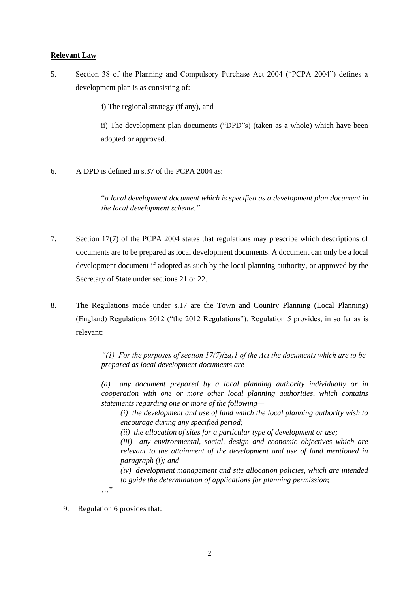#### **Relevant Law**

5. Section 38 of the Planning and Compulsory Purchase Act 2004 ("PCPA 2004") defines a development plan is as consisting of:

i) The regional strategy (if any), and

ii) The development plan documents ("DPD"s) (taken as a whole) which have been adopted or approved.

6. A DPD is defined in s.37 of the PCPA 2004 as:

"*a local development document which is specified as a development plan document in the local development scheme."*

- 7. Section 17(7) of the PCPA 2004 states that regulations may prescribe which descriptions of documents are to be prepared as local development documents. A document can only be a local development document if adopted as such by the local planning authority, or approved by the Secretary of State under sections 21 or 22.
- 8. The Regulations made under s.17 are the Town and Country Planning (Local Planning) (England) Regulations 2012 ("the 2012 Regulations"). Regulation 5 provides, in so far as is relevant:

*"(1) For the purposes of section 17(7)(za)1 of the Act the documents which are to be prepared as local development documents are—*

*(a) any document prepared by a local planning authority individually or in cooperation with one or more other local planning authorities, which contains statements regarding one or more of the following—*

*(i) the development and use of land which the local planning authority wish to encourage during any specified period;*

*(ii) the allocation of sites for a particular type of development or use;*

*(iii) any environmental, social, design and economic objectives which are relevant to the attainment of the development and use of land mentioned in paragraph (i); and*

*(iv) development management and site allocation policies, which are intended to guide the determination of applications for planning permission*;

9. Regulation 6 provides that:

…"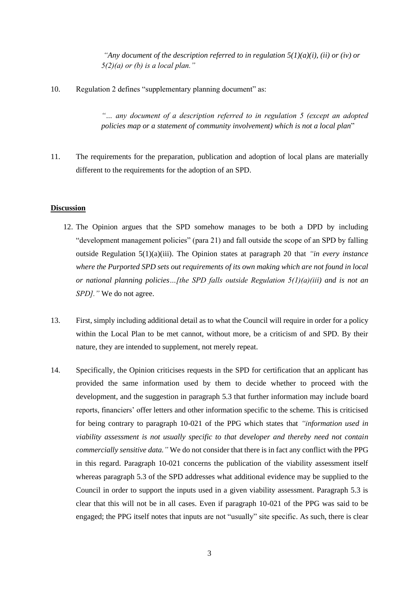*"Any document of the description referred to in regulation*  $5(1)(a)(i)$ *, (ii) or (iv) or 5(2)(a) or (b) is a local plan."*

10. Regulation 2 defines "supplementary planning document" as:

*"… any document of a description referred to in regulation 5 (except an adopted policies map or a statement of community involvement) which is not a local plan*"

11. The requirements for the preparation, publication and adoption of local plans are materially different to the requirements for the adoption of an SPD.

#### **Discussion**

- 12. The Opinion argues that the SPD somehow manages to be both a DPD by including "development management policies" (para 21) and fall outside the scope of an SPD by falling outside Regulation 5(1)(a)(iii). The Opinion states at paragraph 20 that *"in every instance where the Purported SPD sets out requirements of its own making which are not found in local or national planning policies…[the SPD falls outside Regulation 5(1)(a)(iii) and is not an SPD]."* We do not agree.
- 13. First, simply including additional detail as to what the Council will require in order for a policy within the Local Plan to be met cannot, without more, be a criticism of and SPD. By their nature, they are intended to supplement, not merely repeat.
- 14. Specifically, the Opinion criticises requests in the SPD for certification that an applicant has provided the same information used by them to decide whether to proceed with the development, and the suggestion in paragraph 5.3 that further information may include board reports, financiers' offer letters and other information specific to the scheme. This is criticised for being contrary to paragraph 10-021 of the PPG which states that *"information used in viability assessment is not usually specific to that developer and thereby need not contain commercially sensitive data."* We do not consider that there is in fact any conflict with the PPG in this regard. Paragraph 10-021 concerns the publication of the viability assessment itself whereas paragraph 5.3 of the SPD addresses what additional evidence may be supplied to the Council in order to support the inputs used in a given viability assessment. Paragraph 5.3 is clear that this will not be in all cases. Even if paragraph 10-021 of the PPG was said to be engaged; the PPG itself notes that inputs are not "usually" site specific. As such, there is clear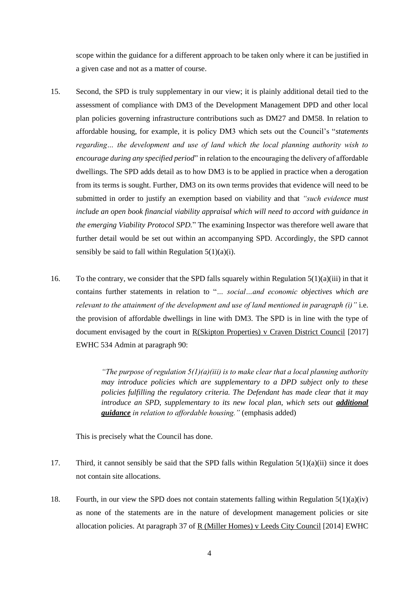scope within the guidance for a different approach to be taken only where it can be justified in a given case and not as a matter of course.

- 15. Second, the SPD is truly supplementary in our view; it is plainly additional detail tied to the assessment of compliance with DM3 of the Development Management DPD and other local plan policies governing infrastructure contributions such as DM27 and DM58. In relation to affordable housing, for example, it is policy DM3 which sets out the Council's "*statements regarding… the development and use of land which the local planning authority wish to encourage during any specified period*" in relation to the encouraging the delivery of affordable dwellings. The SPD adds detail as to how DM3 is to be applied in practice when a derogation from its terms is sought. Further, DM3 on its own terms provides that evidence will need to be submitted in order to justify an exemption based on viability and that *"such evidence must include an open book financial viability appraisal which will need to accord with guidance in the emerging Viability Protocol SPD.*" The examining Inspector was therefore well aware that further detail would be set out within an accompanying SPD. Accordingly, the SPD cannot sensibly be said to fall within Regulation  $5(1)(a)(i)$ .
- 16. To the contrary, we consider that the SPD falls squarely within Regulation  $5(1)(a)(iii)$  in that it contains further statements in relation to "*… social…and economic objectives which are relevant to the attainment of the development and use of land mentioned in paragraph (i)"* i.e. the provision of affordable dwellings in line with DM3. The SPD is in line with the type of document envisaged by the court in R(Skipton Properties) v Craven District Council [2017] EWHC 534 Admin at paragraph 90:

*"The purpose of regulation 5(1)(a)(iii) is to make clear that a local planning authority may introduce policies which are supplementary to a DPD subject only to these policies fulfilling the regulatory criteria. The Defendant has made clear that it may introduce an SPD, supplementary to its new local plan, which sets out additional guidance in relation to affordable housing."* (emphasis added)

This is precisely what the Council has done.

- 17. Third, it cannot sensibly be said that the SPD falls within Regulation  $5(1)(a)(ii)$  since it does not contain site allocations.
- 18. Fourth, in our view the SPD does not contain statements falling within Regulation  $5(1)(a)(iv)$ as none of the statements are in the nature of development management policies or site allocation policies. At paragraph 37 of R (Miller Homes) v Leeds City Council [2014] EWHC